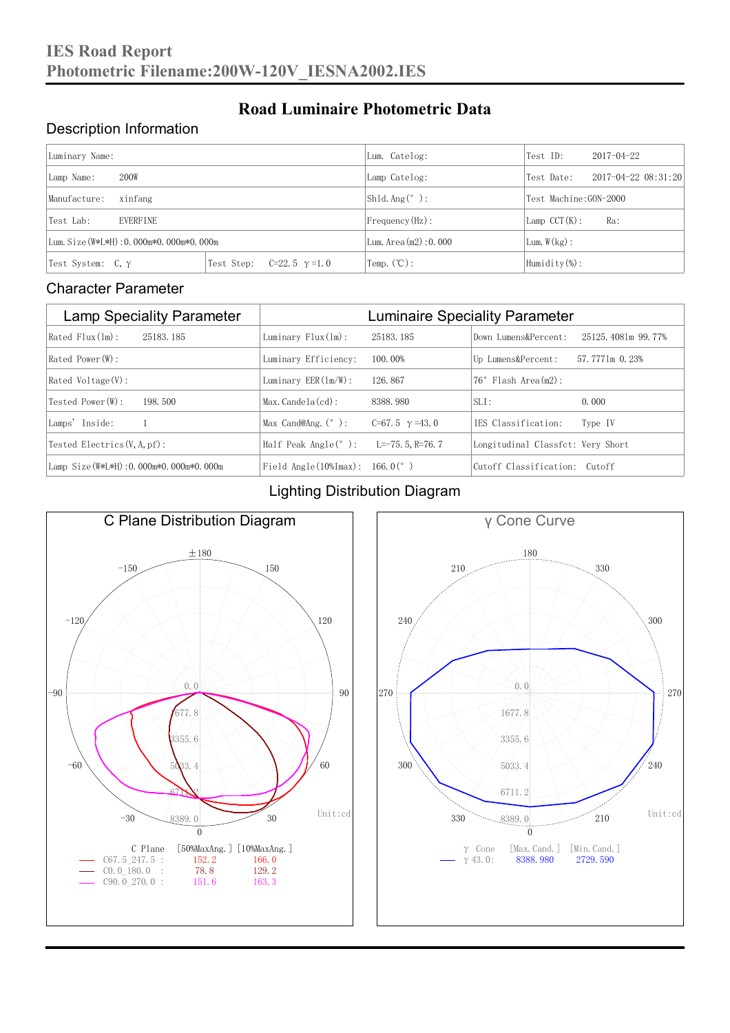### Description Information

| Luminary Name:                          |                                     | Lum. Catelog:          | Test ID:                    | $2017 - 04 - 22$ |  |
|-----------------------------------------|-------------------------------------|------------------------|-----------------------------|------------------|--|
| 200W<br>Lamp Name:                      | Lamp Catelog:                       | Test Date:             | $2017 - 04 - 22$ $08:31:20$ |                  |  |
| Manufacture:<br>xinfang                 |                                     | $Shld$ Ang(°):         | Test Machine: GON-2000      |                  |  |
| EVERFINE<br>Test Lab:                   |                                     | $Frequency(Hz)$ :      | $Lamp$ CCT $(K):$           | Ra:              |  |
| Lum. Size (W*L*H): 0.000m*0.000m*0.000m |                                     | Lum. Area $(m2):0.000$ | Lum. $W(kg)$ :              |                  |  |
| Test System: $C, \gamma$                | Test Step:<br>$C=22.5$ $\gamma=1.0$ | Temp. $(\mathbb{C})$ : | Humidity $(\%)$ :           |                  |  |

**Road Luminaire Photometric Data**

#### Character Parameter

| <b>Lamp Speciality Parameter</b>        | <b>Luminaire Speciality Parameter</b>                |                       |                                   |                    |  |
|-----------------------------------------|------------------------------------------------------|-----------------------|-----------------------------------|--------------------|--|
| $Rated$ $Flux(ln)$ :<br>25183, 185      | Luminary $Flux(ln)$ :                                | 25183, 185            | Down Lumens&Percent:              | 25125.4081m 99.77% |  |
| $Rated$ Power $(\mathbb{W})$ :          | Luminary Efficiency:                                 | 100.00%               | Up Lumens&Percent:                | 57.7771m 0.23%     |  |
| $Rated$ Voltage $(V)$ :                 | Luminary $EER(\ln/W)$ :                              | 126, 867              | $76°$ Flash Area $(m2)$ :         |                    |  |
| Tested Power (W):<br>198.500            | $Max. Candela(cd)$ :                                 | 8388, 980             | $SLI$ :                           | 0.000              |  |
| Lamps' Inside:                          | Max Cand@Ang. $(°)$ :                                | C=67.5 $\gamma$ =43.0 | TES Classification:               | Type IV            |  |
| Tested Electrics $(V, A, pf)$ :         | Half Peak Angle $(°)$ :                              | L=-75. 5. R=76. 7     | Longitudinal Classfct: Very Short |                    |  |
| Lamp Size (W*L*H): 0.000m*0.000m*0.000m | Field Angle $(10\frac{m}{max})$ : 166.0 $(^{\circ})$ |                       | Cutoff Classification: Cutoff     |                    |  |

#### Lighting Distribution Diagram



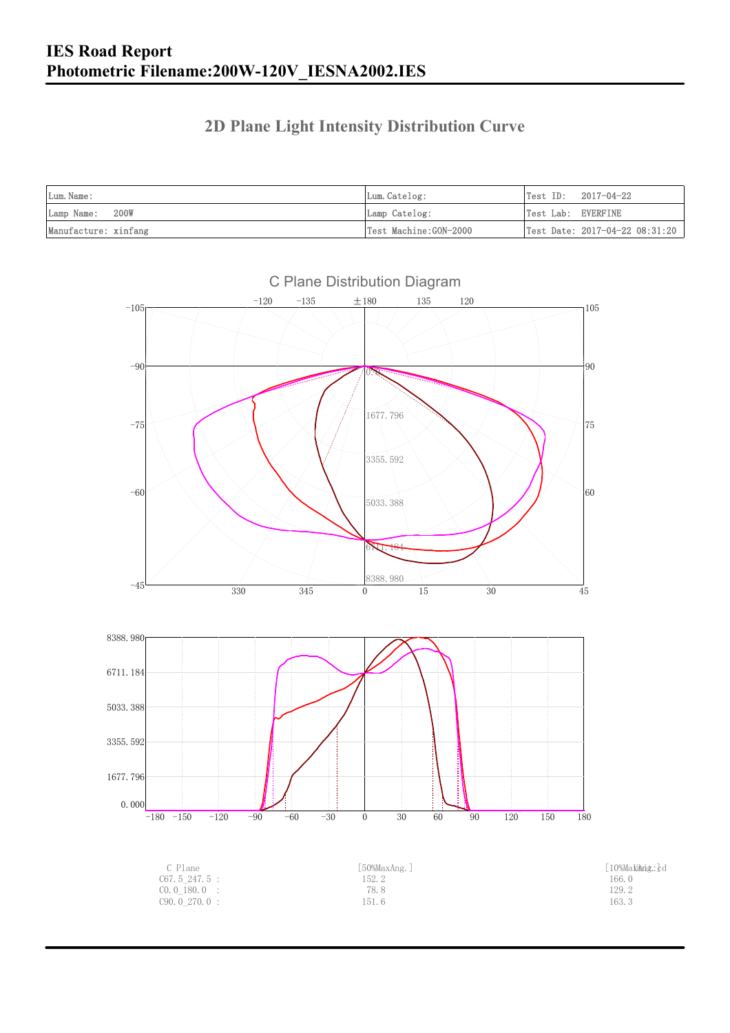### **2D Plane Light Intensity Distribution Curve**

| Lum. Name:           | Lum.Catelog:          |                    | $Test ID: 2017-04-22$          |
|----------------------|-----------------------|--------------------|--------------------------------|
| Lamp Name: 200W      | Lamp Catelog:         | Test Lab: EVERFINE |                                |
| Manufacture: xinfang | Test Machine:GON-2000 |                    | Test Date: 2017-04-22 08:31:20 |

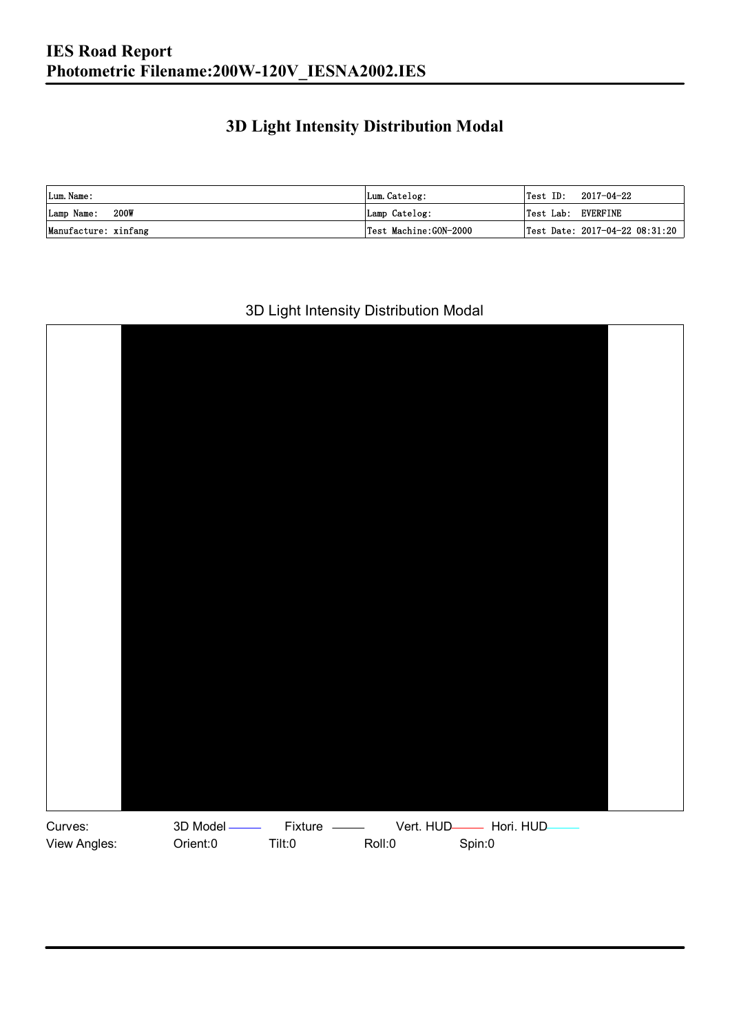### **3D Light Intensity Distribution Modal**

| Lum. Name:           | Lum.Catelog:          |                    | $\textsf{Test ID:} \quad 2017-04-22$ |
|----------------------|-----------------------|--------------------|--------------------------------------|
| 200W<br>Lamp Name:   | Lamp Catelog:         | Test Lab: EVERFINE |                                      |
| Manufacture: xinfang | Test Machine:GON-2000 |                    | Test Date: 2017-04-22 08:31:20       |

#### 3D Light Intensity Distribution Modal

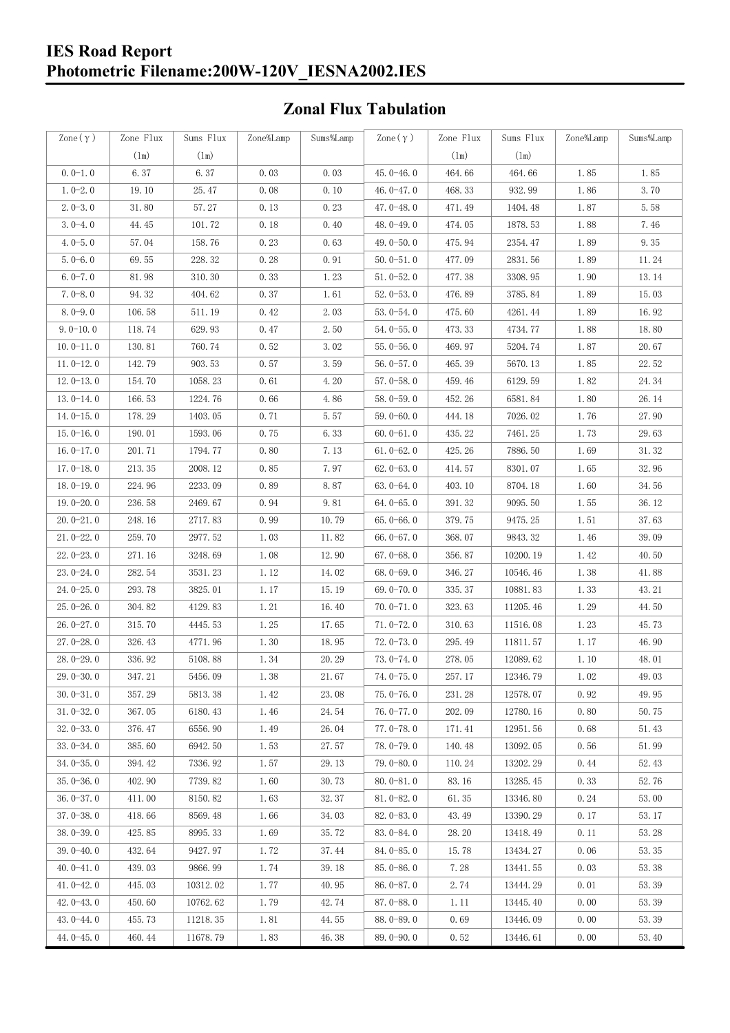#### **IES Road Report Photometric Filename:200W-120V\_IESNA2002.IES**

### **Zonal Flux Tabulation**

| Zone $(\gamma)$ | Zone Flux     | Sums Flux     | Zone%Lamp | Sums%Lamp | Zone $(\gamma)$ | Zone Flux | Sums Flux | Zone%Lamp | Sums%Lamp |
|-----------------|---------------|---------------|-----------|-----------|-----------------|-----------|-----------|-----------|-----------|
|                 | $(\text{lm})$ | $(\text{lm})$ |           |           |                 | (1m)      | (1m)      |           |           |
| $0.0-1.0$       | 6.37          | 6.37          | 0.03      | 0.03      | $45.0 - 46.0$   | 464.66    | 464.66    | 1.85      | 1.85      |
| $1.0 - 2.0$     | 19.10         | 25.47         | 0.08      | 0.10      | 46.0-47.0       | 468.33    | 932.99    | 1.86      | 3.70      |
| $2.0 - 3.0$     | 31.80         | 57.27         | 0.13      | 0.23      | 47.0-48.0       | 471.49    | 1404.48   | 1.87      | 5.58      |
| $3.0 - 4.0$     | 44.45         | 101.72        | 0.18      | 0.40      | 48.0-49.0       | 474.05    | 1878.53   | 1.88      | 7.46      |
| $4.0 - 5.0$     | 57.04         | 158.76        | 0.23      | 0.63      | 49.0-50.0       | 475.94    | 2354.47   | 1.89      | 9.35      |
| $5.0 - 6.0$     | 69.55         | 228.32        | 0.28      | 0.91      | $50.0 - 51.0$   | 477.09    | 2831.56   | 1.89      | 11.24     |
| $6.0 - 7.0$     | 81.98         | 310.30        | 0.33      | 1.23      | $51.0 - 52.0$   | 477.38    | 3308.95   | 1.90      | 13.14     |
| $7.0 - 8.0$     | 94.32         | 404.62        | 0.37      | 1.61      | $52.0 - 53.0$   | 476.89    | 3785.84   | 1.89      | 15.03     |
| $8.0 - 9.0$     | 106.58        | 511.19        | 0.42      | 2.03      | $53.0 - 54.0$   | 475.60    | 4261.44   | 1.89      | 16.92     |
| $9.0 - 10.0$    | 118.74        | 629.93        | 0.47      | 2.50      | $54.0 - 55.0$   | 473.33    | 4734.77   | 1.88      | 18.80     |
| $10.0 - 11.0$   | 130.81        | 760.74        | 0.52      | 3.02      | $55.0 - 56.0$   | 469.97    | 5204.74   | 1.87      | 20.67     |
| $11.0 - 12.0$   | 142.79        | 903.53        | 0.57      | 3.59      | $56.0 - 57.0$   | 465.39    | 5670.13   | 1.85      | 22.52     |
| $12.0 - 13.0$   | 154.70        | 1058.23       | 0.61      | 4.20      | $57.0 - 58.0$   | 459.46    | 6129.59   | 1.82      | 24.34     |
| $13.0 - 14.0$   | 166.53        | 1224.76       | 0.66      | 4.86      | $58.0 - 59.0$   | 452.26    | 6581.84   | 1.80      | 26.14     |
| $14.0 - 15.0$   | 178.29        | 1403.05       | 0.71      | 5.57      | $59.0 - 60.0$   | 444.18    | 7026.02   | 1.76      | 27.90     |
| $15.0 - 16.0$   | 190.01        | 1593.06       | 0.75      | 6.33      | $60.0 - 61.0$   | 435.22    | 7461.25   | 1.73      | 29.63     |
| $16.0 - 17.0$   | 201.71        | 1794.77       | 0.80      | 7.13      | $61.0 - 62.0$   | 425.26    | 7886.50   | 1.69      | 31.32     |
| $17.0 - 18.0$   | 213.35        | 2008.12       | 0.85      | 7.97      | $62.0 - 63.0$   | 414.57    | 8301.07   | 1.65      | 32.96     |
| $18.0 - 19.0$   | 224.96        | 2233.09       | 0.89      | 8.87      | $63.0 - 64.0$   | 403.10    | 8704.18   | 1.60      | 34.56     |
| $19.0 - 20.0$   | 236.58        | 2469.67       | 0.94      | 9.81      | $64.0 - 65.0$   | 391.32    | 9095.50   | 1.55      | 36.12     |
| $20.0 - 21.0$   | 248.16        | 2717.83       | 0.99      | 10.79     | $65.0 - 66.0$   | 379.75    | 9475.25   | 1.51      | 37.63     |
| $21.0 - 22.0$   | 259.70        | 2977.52       | 1.03      | 11.82     | $66.0 - 67.0$   | 368.07    | 9843.32   | 1.46      | 39.09     |
| $22.0 - 23.0$   | 271.16        | 3248.69       | 1.08      | 12.90     | $67.0 - 68.0$   | 356.87    | 10200.19  | 1.42      | 40.50     |
| $23.0 - 24.0$   | 282.54        | 3531.23       | 1.12      | 14.02     | $68.0 - 69.0$   | 346.27    | 10546.46  | 1.38      | 41.88     |
| $24.0 - 25.0$   | 293.78        | 3825.01       | 1.17      | 15.19     | 69.0-70.0       | 335.37    | 10881.83  | 1.33      | 43.21     |
| $25.0 - 26.0$   | 304.82        | 4129.83       | 1.21      | 16.40     | $70.0 - 71.0$   | 323.63    | 11205.46  | 1.29      | 44.50     |
| $26.0 - 27.0$   | 315.70        | 4445.53       | 1.25      | 17.65     | $71.0 - 72.0$   | 310.63    | 11516.08  | 1.23      | 45.73     |
| $27.0 - 28.0$   | 326.43        | 4771.96       | 1.30      | 18.95     | $72.0 - 73.0$   | 295.49    | 11811.57  | 1.17      | 46.90     |
| $28.0 - 29.0$   | 336.92        | 5108.88       | 1.34      | 20.29     | $73.0 - 74.0$   | 278.05    | 12089.62  | 1.10      | 48.01     |
| 29.0-30.0       | 347.21        | 5456.09       | 1.38      | 21.67     | 74.0-75.0       | 257.17    | 12346.79  | $1.02\,$  | 49.03     |
| $30.0 - 31.0$   | 357.29        | 5813.38       | 1.42      | 23.08     | $75.0 - 76.0$   | 231.28    | 12578.07  | 0.92      | 49.95     |
| $31.0 - 32.0$   | 367.05        | 6180.43       | 1.46      | 24.54     | 76.0-77.0       | 202.09    | 12780.16  | 0.80      | 50.75     |
| $32.0 - 33.0$   | 376.47        | 6556.90       | 1.49      | 26.04     | $77.0 - 78.0$   | 171.41    | 12951.56  | 0.68      | 51.43     |
| $33.0 - 34.0$   | 385.60        | 6942.50       | 1.53      | 27.57     | 78.0-79.0       | 140.48    | 13092.05  | 0.56      | 51.99     |
| $34.0 - 35.0$   | 394.42        | 7336.92       | 1.57      | 29.13     | $79.0 - 80.0$   | 110.24    | 13202.29  | 0.44      | 52.43     |
| $35.0 - 36.0$   | 402.90        | 7739.82       | 1.60      | 30.73     | $80.0 - 81.0$   | 83.16     | 13285.45  | 0.33      | 52.76     |
| $36.0 - 37.0$   | 411.00        | 8150.82       | 1.63      | 32.37     | $81.0 - 82.0$   | 61.35     | 13346.80  | 0.24      | 53.00     |
| $37.0 - 38.0$   | 418.66        | 8569.48       | 1.66      | 34.03     | $82.0 - 83.0$   | 43.49     | 13390.29  | 0.17      | 53.17     |
| $38.0 - 39.0$   | 425.85        | 8995.33       | 1.69      | 35.72     | 83.0-84.0       | 28.20     | 13418.49  | 0.11      | 53.28     |
| $39.0 - 40.0$   | 432.64        | 9427.97       | 1.72      | 37.44     | 84.0-85.0       | 15.78     | 13434.27  | 0.06      | 53.35     |
| $40.0 - 41.0$   | 439.03        | 9866.99       | 1.74      | 39.18     | 85.0-86.0       | 7.28      | 13441.55  | 0.03      | 53.38     |
| $41.0 - 42.0$   | 445.03        | 10312.02      | 1.77      | 40.95     | $86.0 - 87.0$   | 2.74      | 13444.29  | 0.01      | 53.39     |
| $42.0 - 43.0$   | 450.60        | 10762.62      | 1.79      | 42.74     | 87.0-88.0       | 1.11      | 13445.40  | 0.00      | 53.39     |
| $43.0 - 44.0$   | 455.73        | 11218.35      | 1.81      | 44.55     | 88.0-89.0       | 0.69      | 13446.09  | 0.00      | 53.39     |
| $44.0 - 45.0$   | 460.44        | 11678.79      | 1.83      | 46.38     | $89.0 - 90.0$   | 0.52      | 13446.61  | 0.00      | 53.40     |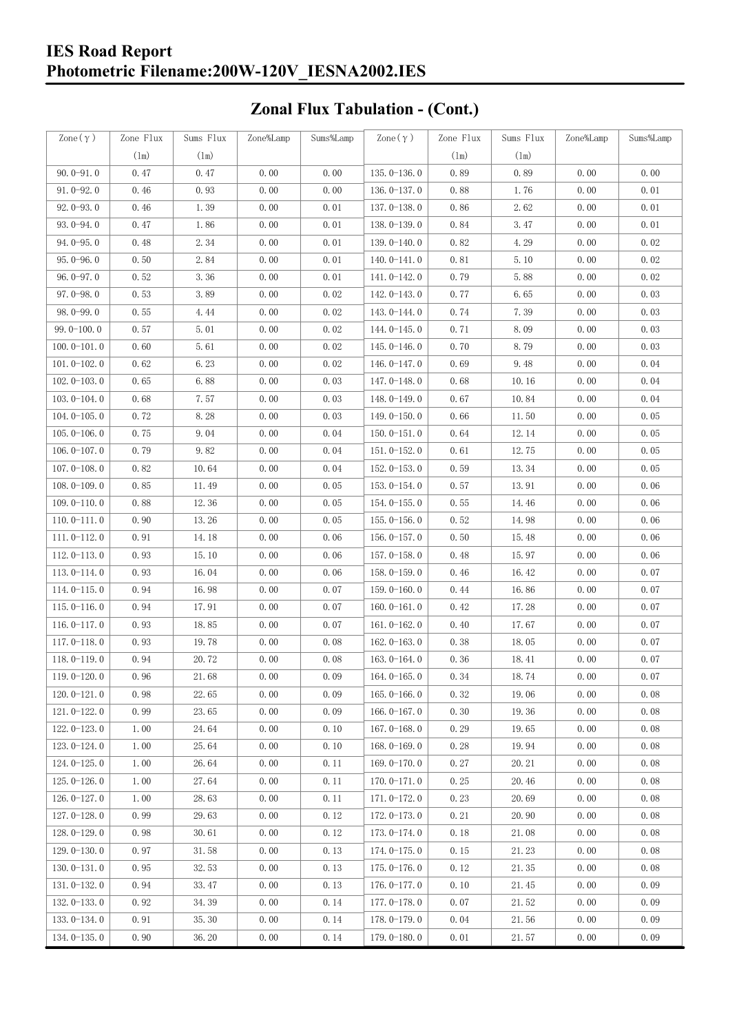#### **IES Road Report Photometric Filename:200W-120V\_IESNA2002.IES**

# **Zonal Flux Tabulation - (Cont.)**

| Zone $(\gamma)$ | Zone Flux | Sums Flux | Zone%Lamp | Sums%Lamp | Zone $(\gamma)$ | Zone Flux | Sums Flux | Zone%Lamp | Sums%Lamp |
|-----------------|-----------|-----------|-----------|-----------|-----------------|-----------|-----------|-----------|-----------|
|                 | (1m)      | (1m)      |           |           |                 | (1m)      | (1m)      |           |           |
| $90.0 - 91.0$   | 0.47      | 0.47      | 0.00      | 0.00      | $135.0 - 136.0$ | 0.89      | 0.89      | 0.00      | 0.00      |
| $91.0 - 92.0$   | 0.46      | 0.93      | 0.00      | 0.00      | 136.0-137.0     | 0.88      | 1.76      | 0.00      | 0.01      |
| $92.0 - 93.0$   | 0.46      | 1.39      | 0.00      | 0.01      | $137.0 - 138.0$ | 0.86      | 2.62      | 0.00      | 0.01      |
| 93.0-94.0       | 0.47      | 1.86      | 0.00      | 0.01      | 138.0-139.0     | 0.84      | 3.47      | 0.00      | 0.01      |
| $94.0 - 95.0$   | 0.48      | 2.34      | 0.00      | 0.01      | 139.0-140.0     | 0.82      | 4.29      | 0.00      | 0.02      |
| $95.0 - 96.0$   | 0.50      | 2.84      | 0.00      | 0.01      | $140.0 - 141.0$ | 0.81      | 5.10      | 0.00      | 0.02      |
| $96.0 - 97.0$   | 0.52      | 3.36      | 0.00      | 0.01      | 141.0-142.0     | 0.79      | 5.88      | 0.00      | 0.02      |
| $97.0 - 98.0$   | 0.53      | 3.89      | 0.00      | 0.02      | 142.0-143.0     | 0.77      | 6.65      | 0.00      | 0.03      |
| $98.0 - 99.0$   | 0.55      | 4.44      | 0.00      | 0.02      | 143.0-144.0     | 0.74      | 7.39      | 0.00      | 0.03      |
| $99.0 - 100.0$  | 0.57      | 5.01      | 0.00      | 0.02      | 144.0-145.0     | 0.71      | 8.09      | 0.00      | 0.03      |
| $100.0 - 101.0$ | 0.60      | 5.61      | 0.00      | 0.02      | $145.0 - 146.0$ | 0.70      | 8.79      | 0.00      | 0.03      |
| $101.0 - 102.0$ | 0.62      | 6.23      | 0.00      | 0.02      | 146.0-147.0     | 0.69      | 9.48      | 0.00      | 0.04      |
| $102.0 - 103.0$ | 0.65      | 6.88      | 0.00      | 0.03      | 147.0-148.0     | 0.68      | 10.16     | 0.00      | 0.04      |
| $103.0 - 104.0$ | 0.68      | 7.57      | 0.00      | 0.03      | 148.0-149.0     | 0.67      | 10.84     | 0.00      | 0.04      |
| $104.0 - 105.0$ | 0.72      | 8.28      | 0.00      | 0.03      | $149.0 - 150.0$ | 0.66      | 11.50     | 0.00      | 0.05      |
| $105.0 - 106.0$ | 0.75      | 9.04      | 0.00      | 0.04      | $150.0 - 151.0$ | 0.64      | 12.14     | 0.00      | 0.05      |
| $106.0 - 107.0$ | 0.79      | 9.82      | 0.00      | 0.04      | $151.0 - 152.0$ | 0.61      | 12.75     | 0.00      | 0.05      |
| $107.0 - 108.0$ | 0.82      | 10.64     | 0.00      | 0.04      | $152.0 - 153.0$ | 0.59      | 13.34     | 0.00      | 0.05      |
| $108.0 - 109.0$ | 0.85      | 11.49     | 0.00      | 0.05      | $153.0 - 154.0$ | 0.57      | 13.91     | 0.00      | 0.06      |
| $109.0 - 110.0$ | 0.88      | 12.36     | 0.00      | 0.05      | 154.0-155.0     | 0.55      | 14.46     | 0.00      | 0.06      |
| $110.0 - 111.0$ | 0.90      | 13.26     | 0.00      | 0.05      | $155.0 - 156.0$ | 0.52      | 14.98     | 0.00      | 0.06      |
| $111.0 - 112.0$ | 0.91      | 14.18     | 0.00      | 0.06      | $156.0 - 157.0$ | 0.50      | 15.48     | 0.00      | 0.06      |
| $112.0 - 113.0$ | 0.93      | 15.10     | 0.00      | 0.06      | 157.0-158.0     | 0.48      | 15.97     | 0.00      | 0.06      |
| $113.0 - 114.0$ | 0.93      | 16.04     | 0.00      | 0.06      | 158.0-159.0     | 0.46      | 16.42     | 0.00      | 0.07      |
| $114.0 - 115.0$ | 0.94      | 16.98     | 0.00      | 0.07      | $159.0 - 160.0$ | 0.44      | 16.86     | 0.00      | 0.07      |
| $115.0 - 116.0$ | 0.94      | 17.91     | 0.00      | 0.07      | $160.0 - 161.0$ | 0.42      | 17.28     | 0.00      | 0.07      |
| $116.0 - 117.0$ | 0.93      | 18.85     | 0.00      | 0.07      | $161.0 - 162.0$ | 0.40      | 17.67     | 0.00      | 0.07      |
| $117.0 - 118.0$ | 0.93      | 19.78     | 0.00      | 0.08      | $162.0 - 163.0$ | 0.38      | 18.05     | 0.00      | 0.07      |
| $118.0 - 119.0$ | 0.94      | 20.72     | 0.00      | 0.08      | $163.0 - 164.0$ | 0.36      | 18.41     | 0.00      | 0.07      |
| 119.0-120.0     | 0.96      | 21.68     | 0.00      | 0.09      | 164.0-165.0     | 0.34      | 18.74     | 0.00      | 0.07      |
| $120.0 - 121.0$ | 0.98      | 22.65     | 0.00      | 0.09      | $165.0 - 166.0$ | 0.32      | 19.06     | 0.00      | 0.08      |
| $121.0 - 122.0$ | 0.99      | 23.65     | 0.00      | 0.09      | $166.0 - 167.0$ | 0.30      | 19.36     | 0.00      | 0.08      |
| $122.0 - 123.0$ | 1.00      | 24.64     | 0.00      | 0.10      | $167.0 - 168.0$ | 0.29      | 19.65     | 0.00      | 0.08      |
| $123.0 - 124.0$ | 1.00      | 25.64     | 0.00      | 0.10      | $168.0 - 169.0$ | 0.28      | 19.94     | 0.00      | 0.08      |
| $124.0 - 125.0$ | 1.00      | 26.64     | 0.00      | 0.11      | $169.0 - 170.0$ | 0.27      | 20.21     | 0.00      | 0.08      |
| $125.0 - 126.0$ | 1.00      | 27.64     | 0.00      | 0.11      | $170.0 - 171.0$ | 0.25      | 20.46     | 0.00      | 0.08      |
| $126.0 - 127.0$ | 1.00      | 28.63     | 0.00      | 0.11      | $171.0 - 172.0$ | 0.23      | 20.69     | 0.00      | 0.08      |
| $127.0 - 128.0$ | 0.99      | 29.63     | 0.00      | 0.12      | $172.0 - 173.0$ | 0.21      | 20.90     | 0.00      | 0.08      |
| $128.0 - 129.0$ | 0.98      | 30.61     | 0.00      | 0.12      | 173.0-174.0     | 0.18      | 21.08     | 0.00      | 0.08      |
| $129.0 - 130.0$ | 0.97      | 31.58     | 0.00      | 0.13      | 174.0-175.0     | 0.15      | 21.23     | 0.00      | 0.08      |
| $130.0 - 131.0$ | 0.95      | 32.53     | 0.00      | 0.13      | $175.0 - 176.0$ | 0.12      | 21.35     | 0.00      | 0.08      |
| $131.0 - 132.0$ | 0.94      | 33.47     | 0.00      | 0.13      | 176.0-177.0     | 0.10      | 21.45     | 0.00      | 0.09      |
| $132.0 - 133.0$ | 0.92      | 34.39     | 0.00      | 0.14      | $177.0 - 178.0$ | 0.07      | 21.52     | 0.00      | 0.09      |
| $133.0 - 134.0$ | 0.91      | 35.30     | 0.00      | 0.14      | 178.0-179.0     | 0.04      | 21.56     | 0.00      | 0.09      |
| $134.0 - 135.0$ | 0.90      | 36.20     | 0.00      | 0.14      | $179.0 - 180.0$ | 0.01      | 21.57     | 0.00      | 0.09      |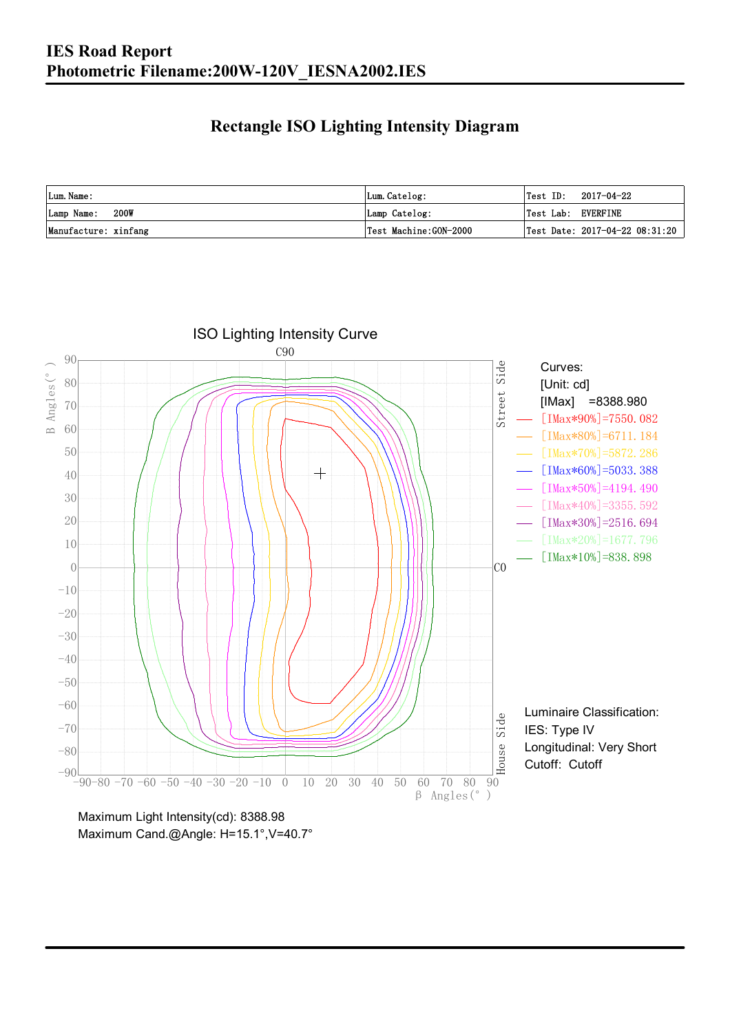### **Rectangle ISO Lighting Intensity Diagram**

| Lum. Name:           | Lum.Catelog:          | $Test ID: 2017-04-22$              |
|----------------------|-----------------------|------------------------------------|
| 200W<br>Lamp Name:   | Lamp Catelog:         | Test Lab: EVERFINE                 |
| Manufacture: xinfang | Test Machine:GON-2000 | Test Date: $2017-04-22$ $08:31:20$ |



Maximum Light Intensity(cd): 8388.98 Maximum Cand.@Angle: H=15.1°, V=40.7°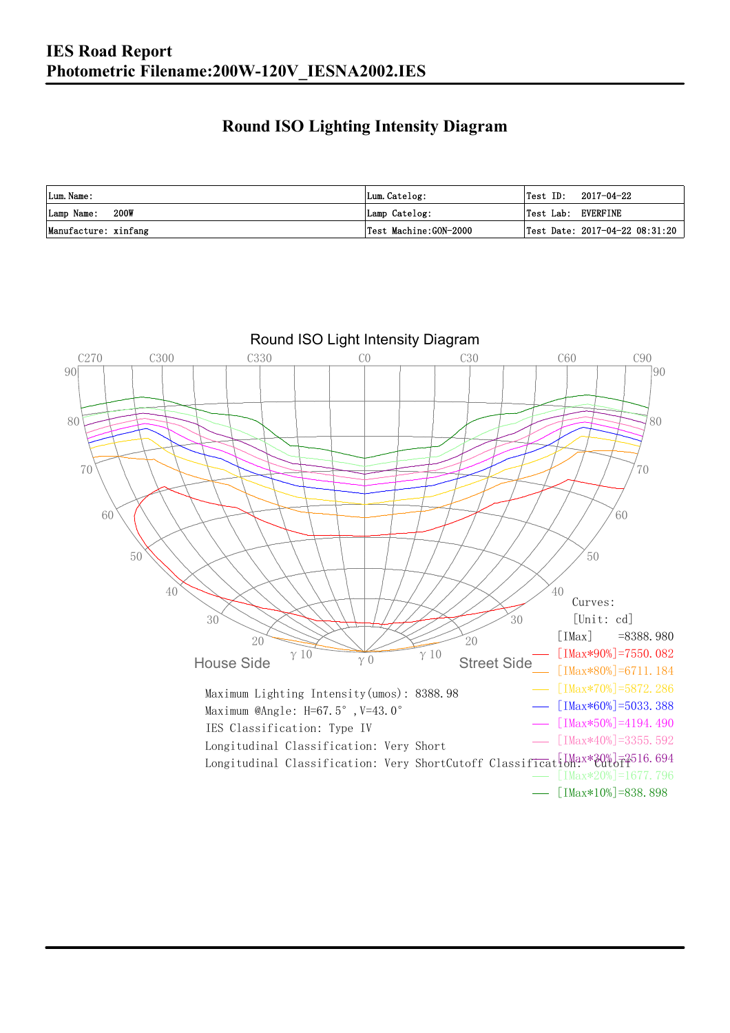### **Round ISO Lighting Intensity Diagram**

| Lum. Name:           | Lum.Catelog:          | 2017-04-22<br>Test ID:         |
|----------------------|-----------------------|--------------------------------|
| 200W<br>Lamp Name:   | Lamp Catelog:         | Test Lab: EVERFINE             |
| Manufacture: xinfang | Test Machine:GON-2000 | Test Date: 2017-04-22 08:31:20 |

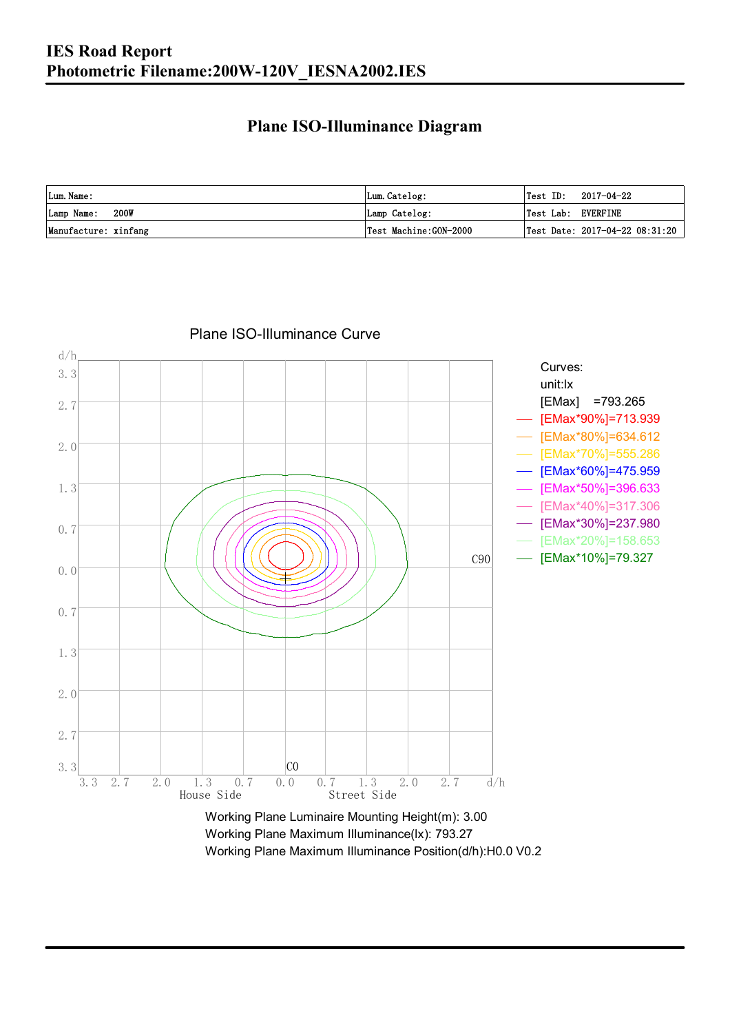#### **Plane ISO-Illuminance Diagram**

| Lum. Name:           | Lum.Catelog:          | $\textsf{Test ID:} \quad 2017-04-22$           |
|----------------------|-----------------------|------------------------------------------------|
| 200W<br>Lamp Name:   | Lamp Catelog:         | Test Lab: EVERFINE                             |
| Manufacture: xinfang | Test Machine:GON-2000 | $\vert$ Test Date: 2017-04-22 08:31:20 $\vert$ |



Plane ISO-Illuminance Curve

Working Plane Maximum Illuminance(lx): 793.27 Working Plane Maximum Illuminance Position(d/h):H0.0 V0.2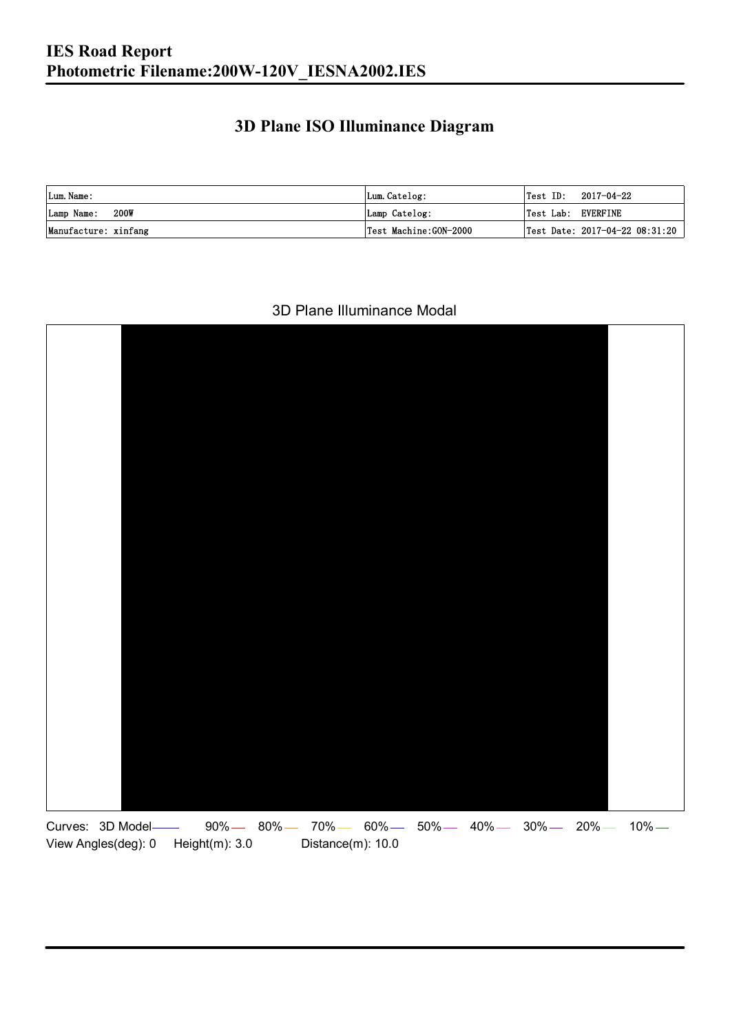### **3D Plane ISO Illuminance Diagram**

| Lum. Name:           | Lum.Catelog:          |                    | $\textsf{Test ID:} \quad 2017-04-22$ |
|----------------------|-----------------------|--------------------|--------------------------------------|
| 200W<br>Lamp Name:   | Lamp Catelog:         | Test Lab: EVERFINE |                                      |
| Manufacture: xinfang | Test Machine:GON-2000 |                    | Test Date: 2017-04-22 08:31:20       |

#### 3D Plane Illuminance Modal

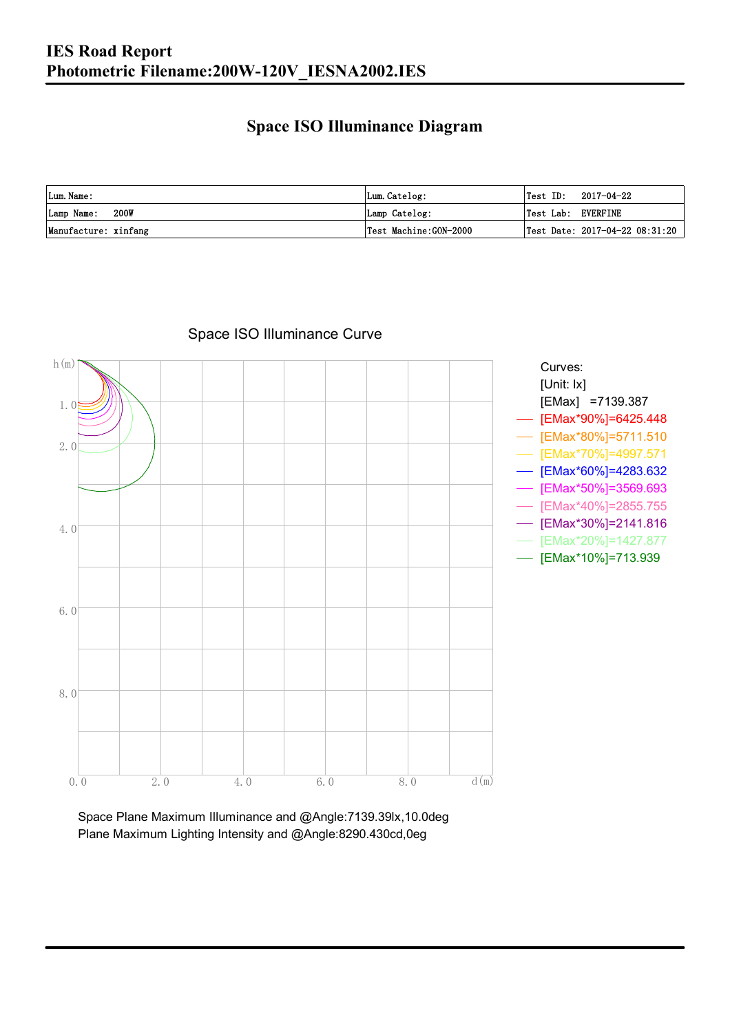### **Space ISO Illuminance Diagram**

| Lum. Name:           | Lum.Catelog:          | $\textsf{Test ID:} \quad 2017-04-22$           |
|----------------------|-----------------------|------------------------------------------------|
| 200W<br>Lamp Name:   | Lamp Catelog:         | Test Lab: EVERFINE                             |
| Manufacture: xinfang | Test Machine:GON-2000 | $\vert$ Test Date: 2017-04-22 08:31:20 $\vert$ |



### Space ISO Illuminance Curve

Space Plane Maximum Illuminance and @Angle:7139.39lx,10.0deg Plane Maximum Lighting Intensity and @Angle:8290.430cd,0eg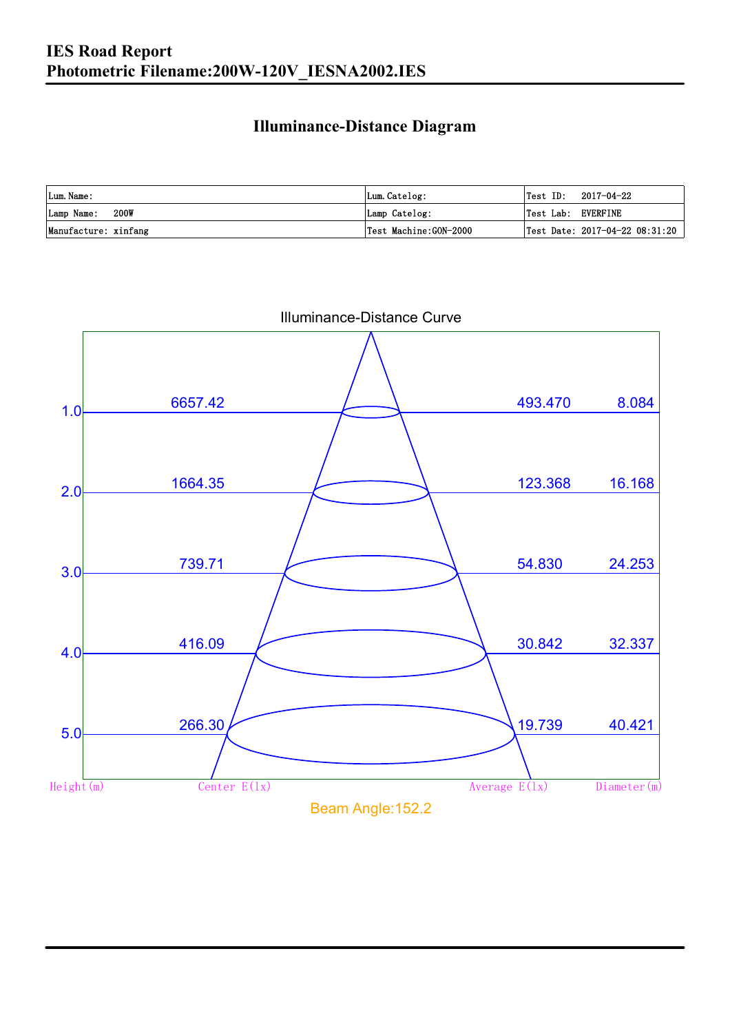### **Illuminance-Distance Diagram**

| Lum. Name:           | Lum.Catelog:           | Test ID:           | 2017-04-22                     |
|----------------------|------------------------|--------------------|--------------------------------|
| 200W<br>Lamp Name:   | Lamp Catelog:          | Test Lab: EVERFINE |                                |
| Manufacture: xinfang | 'Test Machine:GON−2000 |                    | Test Date: 2017-04-22 08:31:20 |



Illuminance-Distance Curve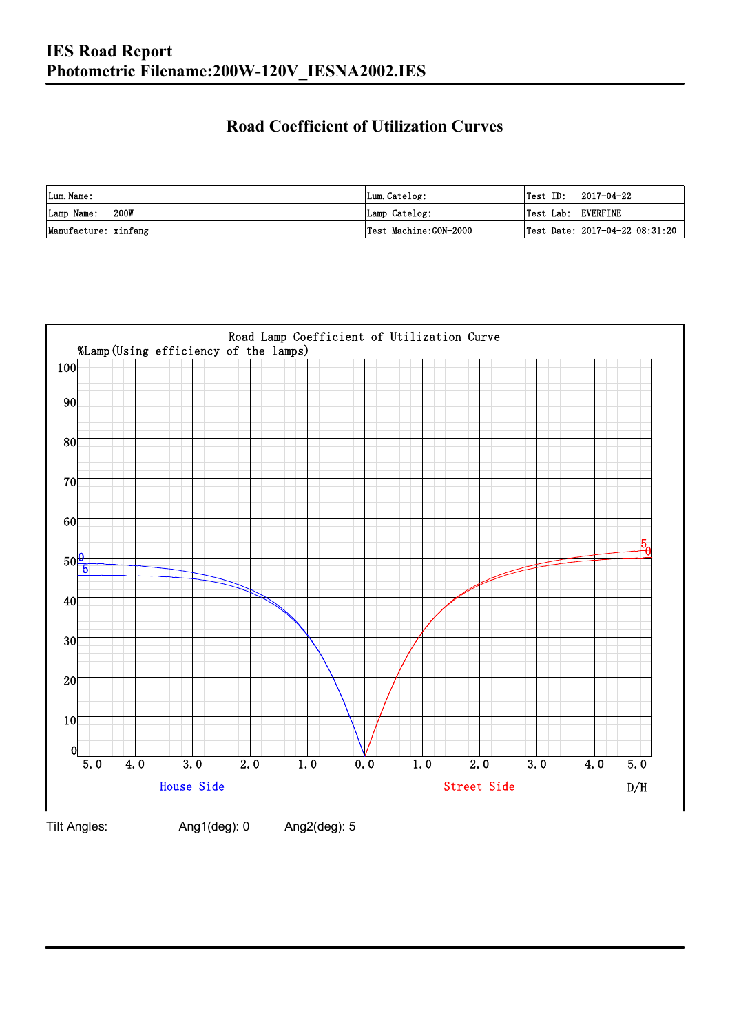### **Road Coefficient of Utilization Curves**

| Lum. Name:           | Lum.Catelog:          |                    | $\textsf{Test ID:} \quad 2017-04-22$ |
|----------------------|-----------------------|--------------------|--------------------------------------|
| 200W<br>Lamp Name:   | Lamp Catelog:         | Test Lab: EVERFINE |                                      |
| Manufacture: xinfang | Test Machine:GON-2000 |                    | Test Date: 2017-04-22 08:31:20       |



Tilt Angles: Ang1(deg): 0 Ang2(deg): 5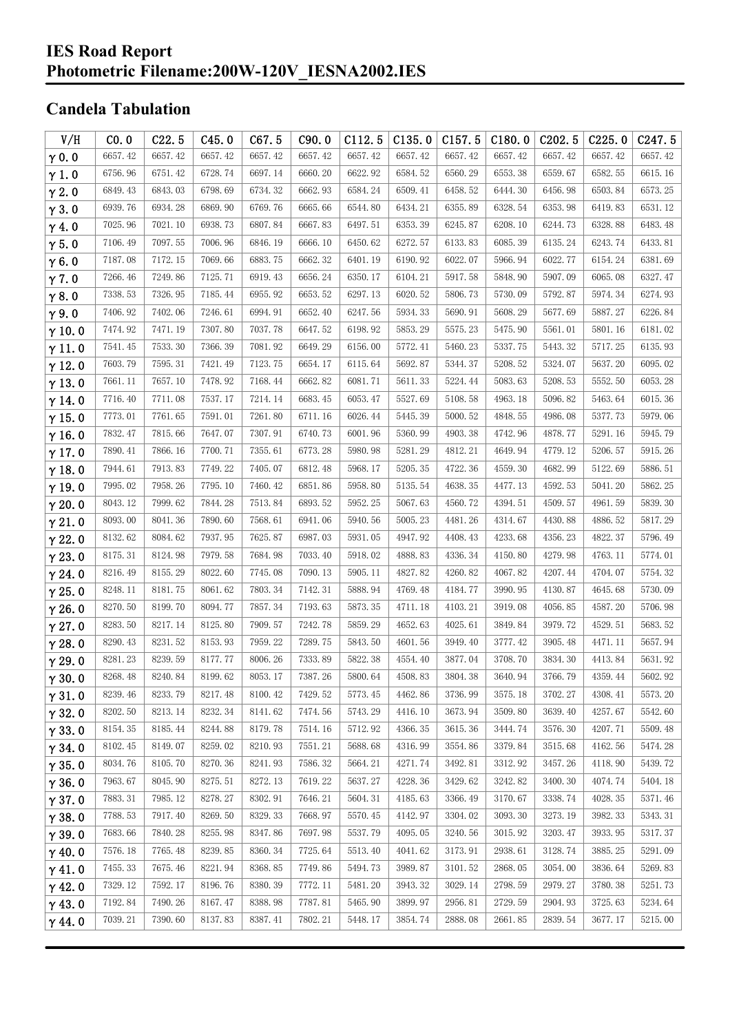#### **IES Road Report Photometric Filename:200W-120V\_IESNA2002.IES**

### **Candela Tabulation**

| V/H           | CO.0    | C22.5   | C45.0   | C67.5   | C90.0   | C112.5  | C135.0  | C157.5  | C180.0  | C202.5  | C225.0  | C <sub>247.5</sub> |
|---------------|---------|---------|---------|---------|---------|---------|---------|---------|---------|---------|---------|--------------------|
| $\gamma$ 0.0  | 6657.42 | 6657.42 | 6657.42 | 6657.42 | 6657.42 | 6657.42 | 6657.42 | 6657.42 | 6657.42 | 6657.42 | 6657.42 | 6657.42            |
| $\gamma$ 1.0  | 6756.96 | 6751.42 | 6728.74 | 6697.14 | 6660.20 | 6622.92 | 6584.52 | 6560.29 | 6553.38 | 6559.67 | 6582.55 | 6615.16            |
| $\gamma$ 2.0  | 6849.43 | 6843.03 | 6798.69 | 6734.32 | 6662.93 | 6584.24 | 6509.41 | 6458.52 | 6444.30 | 6456.98 | 6503.84 | 6573.25            |
| $\gamma$ 3.0  | 6939.76 | 6934.28 | 6869.90 | 6769.76 | 6665.66 | 6544.80 | 6434.21 | 6355.89 | 6328.54 | 6353.98 | 6419.83 | 6531.12            |
| $\gamma$ 4.0  | 7025.96 | 7021.10 | 6938.73 | 6807.84 | 6667.83 | 6497.51 | 6353.39 | 6245.87 | 6208.10 | 6244.73 | 6328.88 | 6483.48            |
| $\gamma$ 5.0  | 7106.49 | 7097.55 | 7006.96 | 6846.19 | 6666.10 | 6450.62 | 6272.57 | 6133.83 | 6085.39 | 6135.24 | 6243.74 | 6433.81            |
| $\gamma$ 6.0  | 7187.08 | 7172.15 | 7069.66 | 6883.75 | 6662.32 | 6401.19 | 6190.92 | 6022.07 | 5966.94 | 6022.77 | 6154.24 | 6381.69            |
| $\gamma$ 7.0  | 7266.46 | 7249.86 | 7125.71 | 6919.43 | 6656.24 | 6350.17 | 6104.21 | 5917.58 | 5848.90 | 5907.09 | 6065.08 | 6327.47            |
| $\gamma$ 8.0  | 7338.53 | 7326.95 | 7185.44 | 6955.92 | 6653.52 | 6297.13 | 6020.52 | 5806.73 | 5730.09 | 5792.87 | 5974.34 | 6274.93            |
| $\gamma$ 9.0  | 7406.92 | 7402.06 | 7246.61 | 6994.91 | 6652.40 | 6247.56 | 5934.33 | 5690.91 | 5608.29 | 5677.69 | 5887.27 | 6226.84            |
| $\gamma$ 10.0 | 7474.92 | 7471.19 | 7307.80 | 7037.78 | 6647.52 | 6198.92 | 5853.29 | 5575.23 | 5475.90 | 5561.01 | 5801.16 | 6181.02            |
| $\gamma$ 11.0 | 7541.45 | 7533.30 | 7366.39 | 7081.92 | 6649.29 | 6156.00 | 5772.41 | 5460.23 | 5337.75 | 5443.32 | 5717.25 | 6135.93            |
| $\gamma$ 12.0 | 7603.79 | 7595.31 | 7421.49 | 7123.75 | 6654.17 | 6115.64 | 5692.87 | 5344.37 | 5208.52 | 5324.07 | 5637.20 | 6095.02            |
| $\gamma$ 13.0 | 7661.11 | 7657.10 | 7478.92 | 7168.44 | 6662.82 | 6081.71 | 5611.33 | 5224.44 | 5083.63 | 5208.53 | 5552.50 | 6053.28            |
| $\gamma$ 14.0 | 7716.40 | 7711.08 | 7537.17 | 7214.14 | 6683.45 | 6053.47 | 5527.69 | 5108.58 | 4963.18 | 5096.82 | 5463.64 | 6015.36            |
| $\gamma$ 15.0 | 7773.01 | 7761.65 | 7591.01 | 7261.80 | 6711.16 | 6026.44 | 5445.39 | 5000.52 | 4848.55 | 4986.08 | 5377.73 | 5979.06            |
| $\gamma$ 16.0 | 7832.47 | 7815.66 | 7647.07 | 7307.91 | 6740.73 | 6001.96 | 5360.99 | 4903.38 | 4742.96 | 4878.77 | 5291.16 | 5945.79            |
| $\gamma$ 17.0 | 7890.41 | 7866.16 | 7700.71 | 7355.61 | 6773.28 | 5980.98 | 5281.29 | 4812.21 | 4649.94 | 4779.12 | 5206.57 | 5915.26            |
| $\gamma$ 18.0 | 7944.61 | 7913.83 | 7749.22 | 7405.07 | 6812.48 | 5968.17 | 5205.35 | 4722.36 | 4559.30 | 4682.99 | 5122.69 | 5886.51            |
| $\gamma$ 19.0 | 7995.02 | 7958.26 | 7795.10 | 7460.42 | 6851.86 | 5958.80 | 5135.54 | 4638.35 | 4477.13 | 4592.53 | 5041.20 | 5862.25            |
| $\gamma$ 20.0 | 8043.12 | 7999.62 | 7844.28 | 7513.84 | 6893.52 | 5952.25 | 5067.63 | 4560.72 | 4394.51 | 4509.57 | 4961.59 | 5839.30            |
| $\gamma$ 21.0 | 8093.00 | 8041.36 | 7890.60 | 7568.61 | 6941.06 | 5940.56 | 5005.23 | 4481.26 | 4314.67 | 4430.88 | 4886.52 | 5817.29            |
| $\gamma$ 22.0 | 8132.62 | 8084.62 | 7937.95 | 7625.87 | 6987.03 | 5931.05 | 4947.92 | 4408.43 | 4233.68 | 4356.23 | 4822.37 | 5796.49            |
| $\gamma$ 23.0 | 8175.31 | 8124.98 | 7979.58 | 7684.98 | 7033.40 | 5918.02 | 4888.83 | 4336.34 | 4150.80 | 4279.98 | 4763.11 | 5774.01            |
| $\gamma$ 24.0 | 8216.49 | 8155.29 | 8022.60 | 7745.08 | 7090.13 | 5905.11 | 4827.82 | 4260.82 | 4067.82 | 4207.44 | 4704.07 | 5754.32            |
| $\gamma$ 25.0 | 8248.11 | 8181.75 | 8061.62 | 7803.34 | 7142.31 | 5888.94 | 4769.48 | 4184.77 | 3990.95 | 4130.87 | 4645.68 | 5730.09            |
| $\gamma$ 26.0 | 8270.50 | 8199.70 | 8094.77 | 7857.34 | 7193.63 | 5873.35 | 4711.18 | 4103.21 | 3919.08 | 4056.85 | 4587.20 | 5706.98            |
| $\gamma$ 27.0 | 8283.50 | 8217.14 | 8125.80 | 7909.57 | 7242.78 | 5859.29 | 4652.63 | 4025.61 | 3849.84 | 3979.72 | 4529.51 | 5683.52            |
| $\gamma$ 28.0 | 8290.43 | 8231.52 | 8153.93 | 7959.22 | 7289.75 | 5843.50 | 4601.56 | 3949.40 | 3777.42 | 3905.48 | 4471.11 | 5657.94            |
| $\gamma$ 29.0 | 8281.23 | 8239.59 | 8177.77 | 8006.26 | 7333.89 | 5822.38 | 4554.40 | 3877.04 | 3708.70 | 3834.30 | 4413.84 | 5631.92            |
| $\gamma$ 30.0 | 8268.48 | 8240.84 | 8199.62 | 8053.17 | 7387.26 | 5800.64 | 4508.83 | 3804.38 | 3640.94 | 3766.79 | 4359.44 | 5602.92            |
| $\gamma$ 31.0 | 8239.46 | 8233.79 | 8217.48 | 8100.42 | 7429.52 | 5773.45 | 4462.86 | 3736.99 | 3575.18 | 3702.27 | 4308.41 | 5573.20            |
| $\gamma$ 32.0 | 8202.50 | 8213.14 | 8232.34 | 8141.62 | 7474.56 | 5743.29 | 4416.10 | 3673.94 | 3509.80 | 3639.40 | 4257.67 | 5542.60            |
| $\gamma$ 33.0 | 8154.35 | 8185.44 | 8244.88 | 8179.78 | 7514.16 | 5712.92 | 4366.35 | 3615.36 | 3444.74 | 3576.30 | 4207.71 | 5509.48            |
| $\gamma$ 34.0 | 8102.45 | 8149.07 | 8259.02 | 8210.93 | 7551.21 | 5688.68 | 4316.99 | 3554.86 | 3379.84 | 3515.68 | 4162.56 | 5474.28            |
| $\gamma$ 35.0 | 8034.76 | 8105.70 | 8270.36 | 8241.93 | 7586.32 | 5664.21 | 4271.74 | 3492.81 | 3312.92 | 3457.26 | 4118.90 | 5439.72            |
| $\gamma$ 36.0 | 7963.67 | 8045.90 | 8275.51 | 8272.13 | 7619.22 | 5637.27 | 4228.36 | 3429.62 | 3242.82 | 3400.30 | 4074.74 | 5404.18            |
| $\gamma$ 37.0 | 7883.31 | 7985.12 | 8278.27 | 8302.91 | 7646.21 | 5604.31 | 4185.63 | 3366.49 | 3170.67 | 3338.74 | 4028.35 | 5371.46            |
| $\gamma$ 38.0 | 7788.53 | 7917.40 | 8269.50 | 8329.33 | 7668.97 | 5570.45 | 4142.97 | 3304.02 | 3093.30 | 3273.19 | 3982.33 | 5343.31            |
| $\gamma$ 39.0 | 7683.66 | 7840.28 | 8255.98 | 8347.86 | 7697.98 | 5537.79 | 4095.05 | 3240.56 | 3015.92 | 3203.47 | 3933.95 | 5317.37            |
| $\gamma$ 40.0 | 7576.18 | 7765.48 | 8239.85 | 8360.34 | 7725.64 | 5513.40 | 4041.62 | 3173.91 | 2938.61 | 3128.74 | 3885.25 | 5291.09            |
| $\gamma$ 41.0 | 7455.33 | 7675.46 | 8221.94 | 8368.85 | 7749.86 | 5494.73 | 3989.87 | 3101.52 | 2868.05 | 3054.00 | 3836.64 | 5269.83            |
| $\gamma$ 42.0 | 7329.12 | 7592.17 | 8196.76 | 8380.39 | 7772.11 | 5481.20 | 3943.32 | 3029.14 | 2798.59 | 2979.27 | 3780.38 | 5251.73            |
| $\gamma$ 43.0 | 7192.84 | 7490.26 | 8167.47 | 8388.98 | 7787.81 | 5465.90 | 3899.97 | 2956.81 | 2729.59 | 2904.93 | 3725.63 | 5234.64            |
| $\gamma$ 44.0 | 7039.21 | 7390.60 | 8137.83 | 8387.41 | 7802.21 | 5448.17 | 3854.74 | 2888.08 | 2661.85 | 2839.54 | 3677.17 | 5215.00            |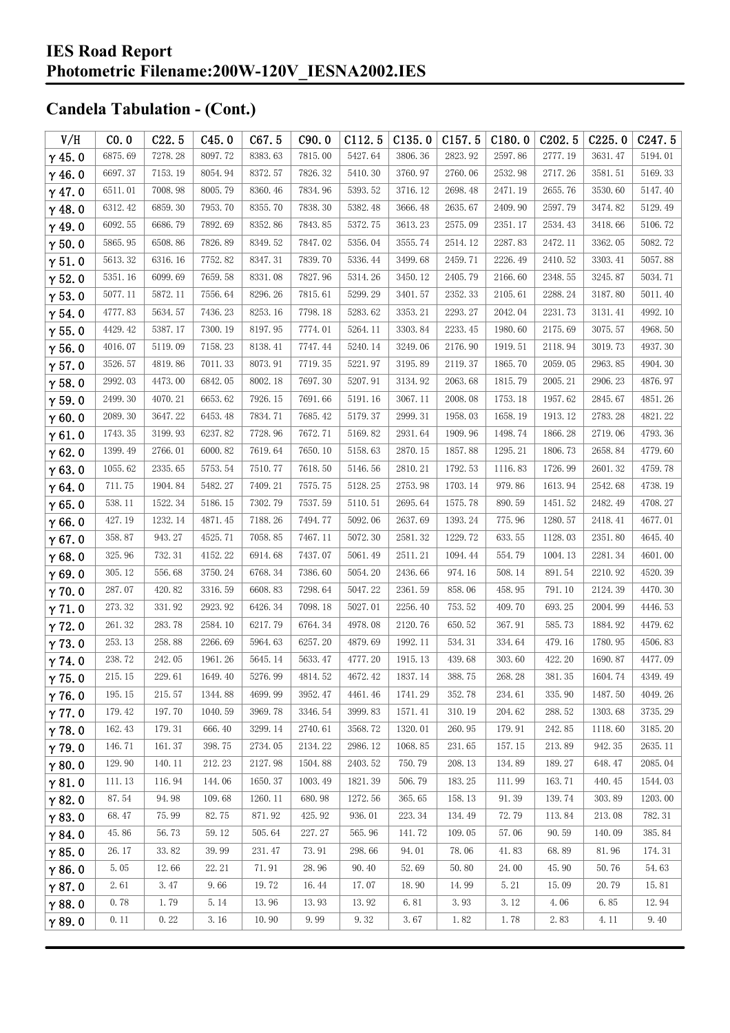| V/H           | CO.0    | C22.5   | C45.0   | C67.5   | C90.0   | C112.5  | C135.0  | C157.5  | C180.0  | C202.5  | C225.0  | C <sub>247.5</sub> |
|---------------|---------|---------|---------|---------|---------|---------|---------|---------|---------|---------|---------|--------------------|
| $\gamma$ 45.0 | 6875.69 | 7278.28 | 8097.72 | 8383.63 | 7815.00 | 5427.64 | 3806.36 | 2823.92 | 2597.86 | 2777.19 | 3631.47 | 5194.01            |
| $\gamma$ 46.0 | 6697.37 | 7153.19 | 8054.94 | 8372.57 | 7826.32 | 5410.30 | 3760.97 | 2760.06 | 2532.98 | 2717.26 | 3581.51 | 5169.33            |
| $\gamma$ 47.0 | 6511.01 | 7008.98 | 8005.79 | 8360.46 | 7834.96 | 5393.52 | 3716.12 | 2698.48 | 2471.19 | 2655.76 | 3530.60 | 5147.40            |
| $\gamma$ 48.0 | 6312.42 | 6859.30 | 7953.70 | 8355.70 | 7838.30 | 5382.48 | 3666.48 | 2635.67 | 2409.90 | 2597.79 | 3474.82 | 5129.49            |
| $\gamma$ 49.0 | 6092.55 | 6686.79 | 7892.69 | 8352.86 | 7843.85 | 5372.75 | 3613.23 | 2575.09 | 2351.17 | 2534.43 | 3418.66 | 5106.72            |
| $\gamma$ 50.0 | 5865.95 | 6508.86 | 7826.89 | 8349.52 | 7847.02 | 5356.04 | 3555.74 | 2514.12 | 2287.83 | 2472.11 | 3362.05 | 5082.72            |
| $\gamma$ 51.0 | 5613.32 | 6316.16 | 7752.82 | 8347.31 | 7839.70 | 5336.44 | 3499.68 | 2459.71 | 2226.49 | 2410.52 | 3303.41 | 5057.88            |
| $\gamma$ 52.0 | 5351.16 | 6099.69 | 7659.58 | 8331.08 | 7827.96 | 5314.26 | 3450.12 | 2405.79 | 2166.60 | 2348.55 | 3245.87 | 5034.71            |
| $\gamma$ 53.0 | 5077.11 | 5872.11 | 7556.64 | 8296.26 | 7815.61 | 5299.29 | 3401.57 | 2352.33 | 2105.61 | 2288.24 | 3187.80 | 5011.40            |
| $\gamma$ 54.0 | 4777.83 | 5634.57 | 7436.23 | 8253.16 | 7798.18 | 5283.62 | 3353.21 | 2293.27 | 2042.04 | 2231.73 | 3131.41 | 4992.10            |
| $\gamma$ 55.0 | 4429.42 | 5387.17 | 7300.19 | 8197.95 | 7774.01 | 5264.11 | 3303.84 | 2233.45 | 1980.60 | 2175.69 | 3075.57 | 4968.50            |
| $\gamma$ 56.0 | 4016.07 | 5119.09 | 7158.23 | 8138.41 | 7747.44 | 5240.14 | 3249.06 | 2176.90 | 1919.51 | 2118.94 | 3019.73 | 4937.30            |
| $\gamma$ 57.0 | 3526.57 | 4819.86 | 7011.33 | 8073.91 | 7719.35 | 5221.97 | 3195.89 | 2119.37 | 1865.70 | 2059.05 | 2963.85 | 4904.30            |
| $\gamma$ 58.0 | 2992.03 | 4473.00 | 6842.05 | 8002.18 | 7697.30 | 5207.91 | 3134.92 | 2063.68 | 1815.79 | 2005.21 | 2906.23 | 4876.97            |
| $\gamma$ 59.0 | 2499.30 | 4070.21 | 6653.62 | 7926.15 | 7691.66 | 5191.16 | 3067.11 | 2008.08 | 1753.18 | 1957.62 | 2845.67 | 4851.26            |
| $\gamma$ 60.0 | 2089.30 | 3647.22 | 6453.48 | 7834.71 | 7685.42 | 5179.37 | 2999.31 | 1958.03 | 1658.19 | 1913.12 | 2783.28 | 4821.22            |
| $\gamma$ 61.0 | 1743.35 | 3199.93 | 6237.82 | 7728.96 | 7672.71 | 5169.82 | 2931.64 | 1909.96 | 1498.74 | 1866.28 | 2719.06 | 4793.36            |
| $\gamma$ 62.0 | 1399.49 | 2766.01 | 6000.82 | 7619.64 | 7650.10 | 5158.63 | 2870.15 | 1857.88 | 1295.21 | 1806.73 | 2658.84 | 4779.60            |
| $\gamma$ 63.0 | 1055.62 | 2335.65 | 5753.54 | 7510.77 | 7618.50 | 5146.56 | 2810.21 | 1792.53 | 1116.83 | 1726.99 | 2601.32 | 4759.78            |
| $\gamma$ 64.0 | 711.75  | 1904.84 | 5482.27 | 7409.21 | 7575.75 | 5128.25 | 2753.98 | 1703.14 | 979.86  | 1613.94 | 2542.68 | 4738.19            |
| $\gamma$ 65.0 | 538.11  | 1522.34 | 5186.15 | 7302.79 | 7537.59 | 5110.51 | 2695.64 | 1575.78 | 890.59  | 1451.52 | 2482.49 | 4708.27            |
| $\gamma$ 66.0 | 427.19  | 1232.14 | 4871.45 | 7188.26 | 7494.77 | 5092.06 | 2637.69 | 1393.24 | 775.96  | 1280.57 | 2418.41 | 4677.01            |
| $\gamma$ 67.0 | 358.87  | 943.27  | 4525.71 | 7058.85 | 7467.11 | 5072.30 | 2581.32 | 1229.72 | 633.55  | 1128.03 | 2351.80 | 4645.40            |
| $\gamma$ 68.0 | 325.96  | 732.31  | 4152.22 | 6914.68 | 7437.07 | 5061.49 | 2511.21 | 1094.44 | 554.79  | 1004.13 | 2281.34 | 4601.00            |
| $\gamma$ 69.0 | 305.12  | 556.68  | 3750.24 | 6768.34 | 7386.60 | 5054.20 | 2436.66 | 974.16  | 508.14  | 891.54  | 2210.92 | 4520.39            |
| $\gamma$ 70.0 | 287.07  | 420.82  | 3316.59 | 6608.83 | 7298.64 | 5047.22 | 2361.59 | 858.06  | 458.95  | 791.10  | 2124.39 | 4470.30            |
| $\gamma$ 71.0 | 273.32  | 331.92  | 2923.92 | 6426.34 | 7098.18 | 5027.01 | 2256.40 | 753.52  | 409.70  | 693.25  | 2004.99 | 4446.53            |
| $\gamma$ 72.0 | 261.32  | 283.78  | 2584.10 | 6217.79 | 6764.34 | 4978.08 | 2120.76 | 650.52  | 367.91  | 585.73  | 1884.92 | 4479.62            |
| $\gamma$ 73.0 | 253.13  | 258.88  | 2266.69 | 5964.63 | 6257.20 | 4879.69 | 1992.11 | 534.31  | 334.64  | 479.16  | 1780.95 | 4506.83            |
| $\gamma$ 74.0 | 238.72  | 242.05  | 1961.26 | 5645.14 | 5633.47 | 4777.20 | 1915.13 | 439.68  | 303.60  | 422.20  | 1690.87 | 4477.09            |
| $\gamma$ 75.0 | 215.15  | 229.61  | 1649.40 | 5276.99 | 4814.52 | 4672.42 | 1837.14 | 388.75  | 268.28  | 381.35  | 1604.74 | 4349.49            |
| $\gamma$ 76.0 | 195.15  | 215.57  | 1344.88 | 4699.99 | 3952.47 | 4461.46 | 1741.29 | 352.78  | 234.61  | 335.90  | 1487.50 | 4049.26            |
| $\gamma$ 77.0 | 179.42  | 197.70  | 1040.59 | 3969.78 | 3346.54 | 3999.83 | 1571.41 | 310.19  | 204.62  | 288.52  | 1303.68 | 3735.29            |
| $\gamma$ 78.0 | 162.43  | 179.31  | 666.40  | 3299.14 | 2740.61 | 3568.72 | 1320.01 | 260.95  | 179.91  | 242.85  | 1118.60 | 3185.20            |
| $\gamma$ 79.0 | 146.71  | 161.37  | 398.75  | 2734.05 | 2134.22 | 2986.12 | 1068.85 | 231.65  | 157.15  | 213.89  | 942.35  | 2635.11            |
| $\gamma$ 80.0 | 129.90  | 140.11  | 212.23  | 2127.98 | 1504.88 | 2403.52 | 750.79  | 208.13  | 134.89  | 189.27  | 648.47  | 2085.04            |
| $\gamma$ 81.0 | 111.13  | 116.94  | 144.06  | 1650.37 | 1003.49 | 1821.39 | 506.79  | 183.25  | 111.99  | 163.71  | 440.45  | 1544.03            |
| $\gamma$ 82.0 | 87.54   | 94.98   | 109.68  | 1260.11 | 680.98  | 1272.56 | 365.65  | 158.13  | 91.39   | 139.74  | 303.89  | 1203.00            |
| $\gamma$ 83.0 | 68.47   | 75.99   | 82.75   | 871.92  | 425.92  | 936.01  | 223.34  | 134.49  | 72.79   | 113.84  | 213.08  | 782.31             |
| $\gamma$ 84.0 | 45.86   | 56.73   | 59.12   | 505.64  | 227.27  | 565.96  | 141.72  | 109.05  | 57.06   | 90.59   | 140.09  | 385.84             |
| $\gamma$ 85.0 | 26.17   | 33.82   | 39.99   | 231.47  | 73.91   | 298.66  | 94.01   | 78.06   | 41.83   | 68.89   | 81.96   | 174.31             |
| $\gamma$ 86.0 | 5.05    | 12.66   | 22.21   | 71.91   | 28.96   | 90.40   | 52.69   | 50.80   | 24.00   | 45.90   | 50.76   | 54.63              |
| $\gamma$ 87.0 | 2.61    | 3.47    | 9.66    | 19.72   | 16.44   | 17.07   | 18.90   | 14.99   | 5.21    | 15.09   | 20.79   | 15.81              |
| $\gamma$ 88.0 | 0.78    | 1.79    | 5.14    | 13.96   | 13.93   | 13.92   | 6.81    | 3.93    | 3.12    | 4.06    | 6.85    | 12.94              |
| $\gamma$ 89.0 | 0.11    | 0.22    | 3.16    | 10.90   | 9.99    | 9.32    | 3.67    | 1.82    | 1.78    | 2.83    | 4.11    | 9.40               |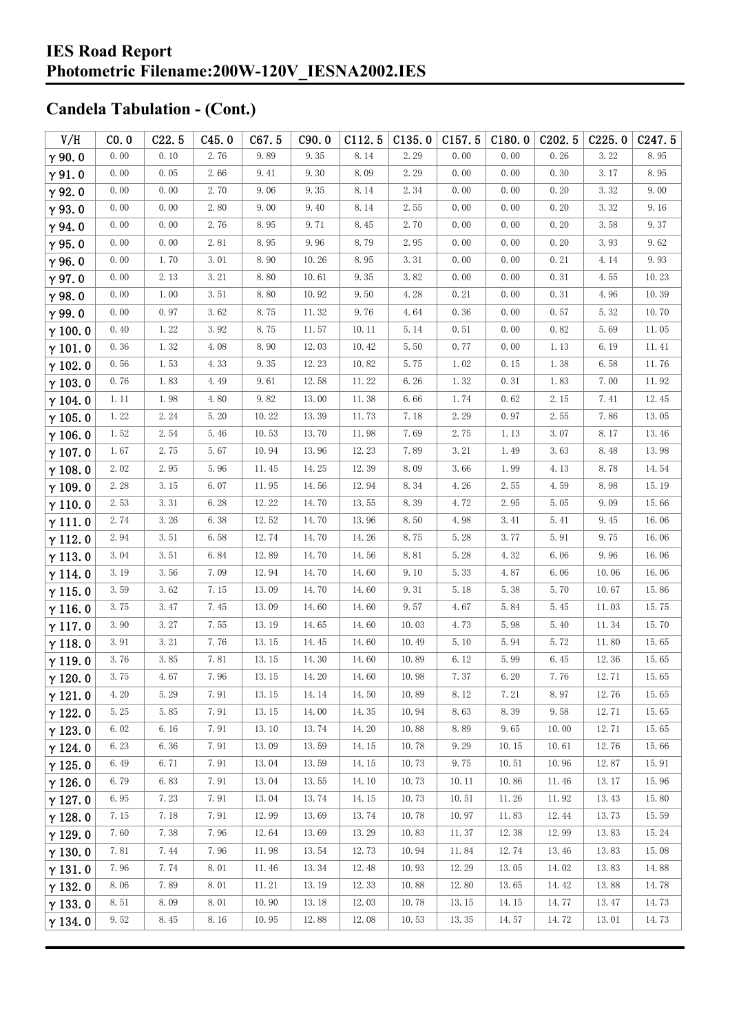| V/H            | CO.0 | C22.5 | C45.0    | C67.5 | C90.0 | C112.5 | C135.0 | C157.5 | C180.0 | C <sub>2</sub> 02.5 | C225.0 | C247.5 |
|----------------|------|-------|----------|-------|-------|--------|--------|--------|--------|---------------------|--------|--------|
| $\gamma$ 90.0  | 0.00 | 0.10  | 2.76     | 9.89  | 9.35  | 8.14   | 2.29   | 0.00   | 0.00   | 0.26                | 3.22   | 8.95   |
| $\gamma$ 91.0  | 0.00 | 0.05  | 2.66     | 9.41  | 9.30  | 8.09   | 2.29   | 0.00   | 0.00   | 0.30                | 3.17   | 8.95   |
| $\gamma$ 92.0  | 0.00 | 0.00  | 2.70     | 9.06  | 9.35  | 8.14   | 2.34   | 0.00   | 0.00   | 0.20                | 3.32   | 9.00   |
| $\gamma$ 93.0  | 0.00 | 0.00  | 2.80     | 9.00  | 9.40  | 8.14   | 2.55   | 0.00   | 0.00   | 0.20                | 3.32   | 9.16   |
| $\gamma$ 94.0  | 0.00 | 0.00  | 2.76     | 8.95  | 9.71  | 8.45   | 2.70   | 0.00   | 0.00   | 0.20                | 3.58   | 9.37   |
| $\gamma$ 95.0  | 0.00 | 0.00  | 2.81     | 8.95  | 9.96  | 8.79   | 2.95   | 0.00   | 0.00   | 0.20                | 3.93   | 9.62   |
| $\gamma$ 96.0  | 0.00 | 1.70  | 3.01     | 8.90  | 10.26 | 8.95   | 3.31   | 0.00   | $0.00$ | 0.21                | 4.14   | 9.93   |
| $\gamma$ 97.0  | 0.00 | 2.13  | 3.21     | 8.80  | 10.61 | 9.35   | 3.82   | 0.00   | 0.00   | 0.31                | 4.55   | 10.23  |
| $\gamma$ 98.0  | 0.00 | 1.00  | 3.51     | 8.80  | 10.92 | 9.50   | 4.28   | 0.21   | 0.00   | 0.31                | 4.96   | 10.39  |
| $\gamma$ 99.0  | 0.00 | 0.97  | 3.62     | 8.75  | 11.32 | 9.76   | 4.64   | 0.36   | 0.00   | 0.57                | 5.32   | 10.70  |
| $\gamma$ 100.0 | 0.40 | 1.22  | 3.92     | 8.75  | 11.57 | 10.11  | 5.14   | 0.51   | 0.00   | 0.82                | 5.69   | 11.05  |
| $\gamma$ 101.0 | 0.36 | 1.32  | 4.08     | 8.90  | 12.03 | 10.42  | 5.50   | 0.77   | 0.00   | 1.13                | 6.19   | 11.41  |
| $\gamma$ 102.0 | 0.56 | 1.53  | 4.33     | 9.35  | 12.23 | 10.82  | 5.75   | 1.02   | 0.15   | 1.38                | 6.58   | 11.76  |
| $\gamma$ 103.0 | 0.76 | 1.83  | 4.49     | 9.61  | 12.58 | 11.22  | 6.26   | 1.32   | 0.31   | 1.83                | 7.00   | 11.92  |
| $\gamma$ 104.0 | 1.11 | 1.98  | 4.80     | 9.82  | 13.00 | 11.38  | 6.66   | 1.74   | 0.62   | 2.15                | 7.41   | 12.45  |
| $\gamma$ 105.0 | 1.22 | 2.24  | 5.20     | 10.22 | 13.39 | 11.73  | 7.18   | 2.29   | 0.97   | 2.55                | 7.86   | 13.05  |
| $\gamma$ 106.0 | 1.52 | 2.54  | 5.46     | 10.53 | 13.70 | 11.98  | 7.69   | 2.75   | 1.13   | 3.07                | 8.17   | 13.46  |
| $\gamma$ 107.0 | 1.67 | 2.75  | 5.67     | 10.94 | 13.96 | 12.23  | 7.89   | 3.21   | 1.49   | 3.63                | 8.48   | 13.98  |
| $\gamma$ 108.0 | 2.02 | 2.95  | 5.96     | 11.45 | 14.25 | 12.39  | 8.09   | 3.66   | 1.99   | 4.13                | 8.78   | 14.54  |
| $\gamma$ 109.0 | 2.28 | 3.15  | 6.07     | 11.95 | 14.56 | 12.94  | 8.34   | 4.26   | 2.55   | 4.59                | 8.98   | 15.19  |
| $\gamma$ 110.0 | 2.53 | 3.31  | 6.28     | 12.22 | 14.70 | 13.55  | 8.39   | 4.72   | 2.95   | 5.05                | 9.09   | 15.66  |
| $\gamma$ 111.0 | 2.74 | 3.26  | 6.38     | 12.52 | 14.70 | 13.96  | 8.50   | 4.98   | 3.41   | 5.41                | 9.45   | 16.06  |
| $\gamma$ 112.0 | 2.94 | 3.51  | 6.58     | 12.74 | 14.70 | 14.26  | 8.75   | 5.28   | 3.77   | 5.91                | 9.75   | 16.06  |
| $\gamma$ 113.0 | 3.04 | 3.51  | 6.84     | 12.89 | 14.70 | 14.56  | 8.81   | 5.28   | 4.32   | 6.06                | 9.96   | 16.06  |
| $\gamma$ 114.0 | 3.19 | 3.56  | 7.09     | 12.94 | 14.70 | 14.60  | 9.10   | 5.33   | 4.87   | 6.06                | 10.06  | 16.06  |
| $\gamma$ 115.0 | 3.59 | 3.62  | 7.15     | 13.09 | 14.70 | 14.60  | 9.31   | 5.18   | 5.38   | 5.70                | 10.67  | 15.86  |
| $\gamma$ 116.0 | 3.75 | 3.47  | 7.45     | 13.09 | 14.60 | 14.60  | 9.57   | 4.67   | 5.84   | 5.45                | 11.03  | 15.75  |
| $\gamma$ 117.0 | 3.90 | 3.27  | 7.55     | 13.19 | 14.65 | 14.60  | 10.03  | 4.73   | 5.98   | 5.40                | 11.34  | 15.70  |
| $\gamma$ 118.0 | 3.91 | 3.21  | 7.76     | 13.15 | 14.45 | 14.60  | 10.49  | 5.10   | 5.94   | 5.72                | 11.80  | 15.65  |
| $\gamma$ 119.0 | 3.76 | 3.85  | 7.81     | 13.15 | 14.30 | 14.60  | 10.89  | 6.12   | 5.99   | 6.45                | 12.36  | 15.65  |
| $\gamma$ 120.0 | 3.75 | 4.67  | $7.96\,$ | 13.15 | 14.20 | 14.60  | 10.98  | 7.37   | 6.20   | 7.76                | 12.71  | 15.65  |
| $\gamma$ 121.0 | 4.20 | 5.29  | 7.91     | 13.15 | 14.14 | 14.50  | 10.89  | 8.12   | 7.21   | 8.97                | 12.76  | 15.65  |
| $\gamma$ 122.0 | 5.25 | 5.85  | 7.91     | 13.15 | 14.00 | 14.35  | 10.94  | 8.63   | 8.39   | 9.58                | 12.71  | 15.65  |
| $\gamma$ 123.0 | 6.02 | 6.16  | 7.91     | 13.10 | 13.74 | 14.20  | 10.88  | 8.89   | 9.65   | 10.00               | 12.71  | 15.65  |
| $\gamma$ 124.0 | 6.23 | 6.36  | 7.91     | 13.09 | 13.59 | 14.15  | 10.78  | 9.29   | 10.15  | 10.61               | 12.76  | 15.66  |
| $\gamma$ 125.0 | 6.49 | 6.71  | 7.91     | 13.04 | 13.59 | 14.15  | 10.73  | 9.75   | 10.51  | 10.96               | 12.87  | 15.91  |
| $\gamma$ 126.0 | 6.79 | 6.83  | 7.91     | 13.04 | 13.55 | 14.10  | 10.73  | 10.11  | 10.86  | 11.46               | 13.17  | 15.96  |
| $\gamma$ 127.0 | 6.95 | 7.23  | 7.91     | 13.04 | 13.74 | 14.15  | 10.73  | 10.51  | 11.26  | 11.92               | 13.43  | 15.80  |
| $\gamma$ 128.0 | 7.15 | 7.18  | 7.91     | 12.99 | 13.69 | 13.74  | 10.78  | 10.97  | 11.83  | 12.44               | 13.73  | 15.59  |
| $\gamma$ 129.0 | 7.60 | 7.38  | 7.96     | 12.64 | 13.69 | 13.29  | 10.83  | 11.37  | 12.38  | 12.99               | 13.83  | 15.24  |
| $\gamma$ 130.0 | 7.81 | 7.44  | 7.96     | 11.98 | 13.54 | 12.73  | 10.94  | 11.84  | 12.74  | 13.46               | 13.83  | 15.08  |
| $\gamma$ 131.0 | 7.96 | 7.74  | 8.01     | 11.46 | 13.34 | 12.48  | 10.93  | 12.29  | 13.05  | 14.02               | 13.83  | 14.88  |
| $\gamma$ 132.0 | 8.06 | 7.89  | 8.01     | 11.21 | 13.19 | 12.33  | 10.88  | 12.80  | 13.65  | 14.42               | 13.88  | 14.78  |
| $\gamma$ 133.0 | 8.51 | 8.09  | 8.01     | 10.90 | 13.18 | 12.03  | 10.78  | 13.15  | 14.15  | 14.77               | 13.47  | 14.73  |
| $\gamma$ 134.0 | 9.52 | 8.45  | 8.16     | 10.95 | 12.88 | 12.08  | 10.53  | 13.35  | 14.57  | 14.72               | 13.01  | 14.73  |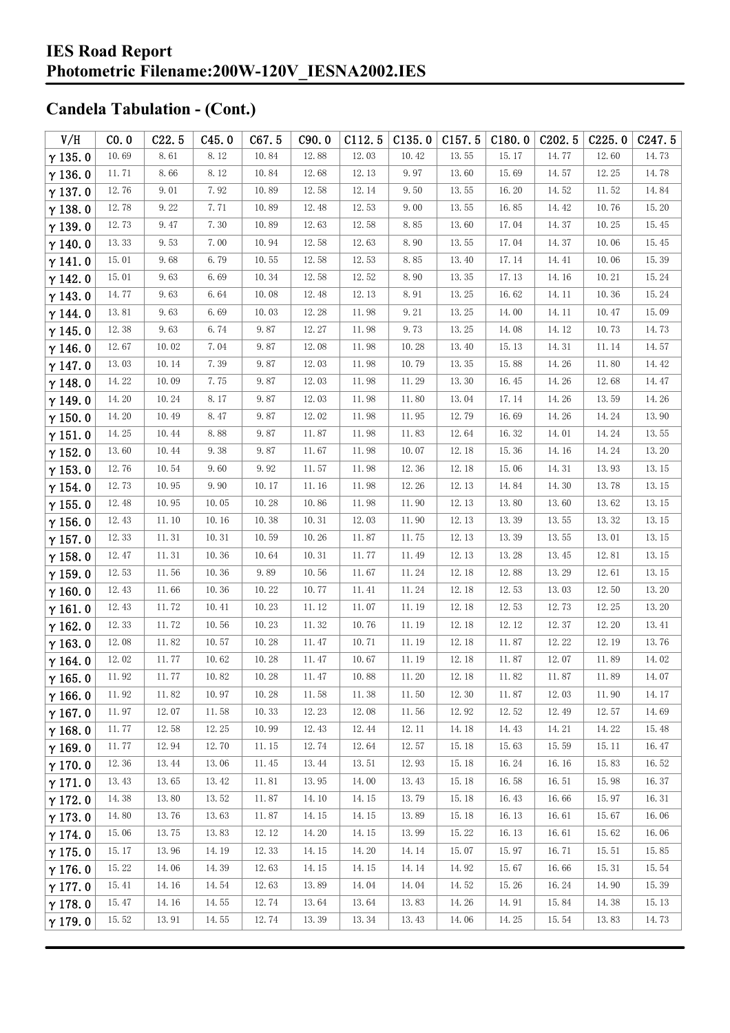| V/H            | CO.0  | C22.5 | C45.0 | C67.5                 | C90.0 | C112.5 | C135.0    | C157.5 | C180.0 | C <sub>202.5</sub> | C225.0 | C <sub>247.5</sub> |
|----------------|-------|-------|-------|-----------------------|-------|--------|-----------|--------|--------|--------------------|--------|--------------------|
| $\gamma$ 135.0 | 10.69 | 8.61  | 8.12  | 10.84                 | 12.88 | 12.03  | 10.42     | 13.55  | 15.17  | 14.77              | 12.60  | 14.73              |
| $\gamma$ 136.0 | 11.71 | 8.66  | 8.12  | 10.84                 | 12.68 | 12.13  | 9.97      | 13.60  | 15.69  | 14.57              | 12.25  | 14.78              |
| $\gamma$ 137.0 | 12.76 | 9.01  | 7.92  | 10.89                 | 12.58 | 12.14  | 9.50      | 13.55  | 16.20  | 14.52              | 11.52  | 14.84              |
| $\gamma$ 138.0 | 12.78 | 9.22  | 7.71  | 10.89                 | 12.48 | 12.53  | 9.00      | 13.55  | 16.85  | 14.42              | 10.76  | 15.20              |
| $\gamma$ 139.0 | 12.73 | 9.47  | 7.30  | 10.89                 | 12.63 | 12.58  | 8.85      | 13.60  | 17.04  | 14.37              | 10.25  | 15.45              |
| $\gamma$ 140.0 | 13.33 | 9.53  | 7.00  | 10.94                 | 12.58 | 12.63  | 8.90      | 13.55  | 17.04  | 14.37              | 10.06  | 15.45              |
| $\gamma$ 141.0 | 15.01 | 9.68  | 6.79  | 10.55                 | 12.58 | 12.53  | 8.85      | 13.40  | 17.14  | 14.41              | 10.06  | 15.39              |
| $\gamma$ 142.0 | 15.01 | 9.63  | 6.69  | 10.34                 | 12.58 | 12.52  | 8.90      | 13.35  | 17.13  | 14.16              | 10.21  | 15.24              |
| $\gamma$ 143.0 | 14.77 | 9.63  | 6.64  | 10.08                 | 12.48 | 12.13  | 8.91      | 13.25  | 16.62  | 14.11              | 10.36  | 15.24              |
| $\gamma$ 144.0 | 13.81 | 9.63  | 6.69  | 10.03                 | 12.28 | 11.98  | 9.21      | 13.25  | 14.00  | 14.11              | 10.47  | 15.09              |
| $\gamma$ 145.0 | 12.38 | 9.63  | 6.74  | 9.87                  | 12.27 | 11.98  | 9.73      | 13.25  | 14.08  | 14.12              | 10.73  | 14.73              |
| $\gamma$ 146.0 | 12.67 | 10.02 | 7.04  | 9.87                  | 12.08 | 11.98  | 10.28     | 13.40  | 15.13  | 14.31              | 11.14  | 14.57              |
| $\gamma$ 147.0 | 13.03 | 10.14 | 7.39  | 9.87                  | 12.03 | 11.98  | 10.79     | 13.35  | 15.88  | 14.26              | 11.80  | 14.42              |
| $\gamma$ 148.0 | 14.22 | 10.09 | 7.75  | 9.87                  | 12.03 | 11.98  | 11.29     | 13.30  | 16.45  | 14.26              | 12.68  | 14.47              |
| $\gamma$ 149.0 | 14.20 | 10.24 | 8.17  | 9.87                  | 12.03 | 11.98  | 11.80     | 13.04  | 17.14  | 14.26              | 13.59  | 14.26              |
| $\gamma$ 150.0 | 14.20 | 10.49 | 8.47  | 9.87                  | 12.02 | 11.98  | 11.95     | 12.79  | 16.69  | 14.26              | 14.24  | 13.90              |
| $\gamma$ 151.0 | 14.25 | 10.44 | 8.88  | 9.87                  | 11.87 | 11.98  | 11.83     | 12.64  | 16.32  | 14.01              | 14.24  | 13.55              |
| $\gamma$ 152.0 | 13.60 | 10.44 | 9.38  | 9.87                  | 11.67 | 11.98  | 10.07     | 12.18  | 15.36  | 14.16              | 14.24  | 13.20              |
| $\gamma$ 153.0 | 12.76 | 10.54 | 9.60  | 9.92                  | 11.57 | 11.98  | 12.36     | 12.18  | 15.06  | 14.31              | 13.93  | 13.15              |
| $\gamma$ 154.0 | 12.73 | 10.95 | 9.90  | 10.17                 | 11.16 | 11.98  | 12.26     | 12.13  | 14.84  | 14.30              | 13.78  | 13.15              |
| $\gamma$ 155.0 | 12.48 | 10.95 | 10.05 | 10.28                 | 10.86 | 11.98  | 11.90     | 12.13  | 13.80  | 13.60              | 13.62  | 13.15              |
| $\gamma$ 156.0 | 12.43 | 11.10 | 10.16 | 10.38                 | 10.31 | 12.03  | 11.90     | 12.13  | 13.39  | 13.55              | 13.32  | 13.15              |
| $\gamma$ 157.0 | 12.33 | 11.31 | 10.31 | 10.59                 | 10.26 | 11.87  | 11.75     | 12.13  | 13.39  | 13.55              | 13.01  | 13.15              |
| $\gamma$ 158.0 | 12.47 | 11.31 | 10.36 | 10.64                 | 10.31 | 11.77  | 11.49     | 12.13  | 13.28  | 13.45              | 12.81  | 13.15              |
| $\gamma$ 159.0 | 12.53 | 11.56 | 10.36 | 9.89                  | 10.56 | 11.67  | 11.24     | 12.18  | 12.88  | 13.29              | 12.61  | 13.15              |
| $\gamma$ 160.0 | 12.43 | 11.66 | 10.36 | 10.22                 | 10.77 | 11.41  | 11.24     | 12.18  | 12.53  | 13.03              | 12.50  | 13.20              |
| $\gamma$ 161.0 | 12.43 | 11.72 | 10.41 | 10.23                 | 11.12 | 11.07  | 11.19     | 12.18  | 12.53  | 12.73              | 12.25  | 13.20              |
| $\gamma$ 162.0 | 12.33 | 11.72 | 10.56 | 10.23                 | 11.32 | 10.76  | 11.19     | 12.18  | 12.12  | 12.37              | 12.20  | 13.41              |
| $\gamma$ 163.0 | 12.08 | 11.82 | 10.57 | 10.28                 | 11.47 | 10.71  | 11.19     | 12.18  | 11.87  | 12.22              | 12.19  | 13.76              |
| $\gamma$ 164.0 | 12.02 | 11.77 | 10.62 | 10.28                 | 11.47 | 10.67  | 11.19     | 12.18  | 11.87  | 12.07              | 11.89  | 14.02              |
| $\gamma$ 165.0 | 11.92 | 11.77 | 10.82 | $10.\,28$             | 11.47 | 10.88  | $11.\,20$ | 12.18  | 11.82  | 11.87              | 11.89  | 14.07              |
| $\gamma$ 166.0 | 11.92 | 11.82 | 10.97 | 10.28                 | 11.58 | 11.38  | 11.50     | 12.30  | 11.87  | 12.03              | 11.90  | 14.17              |
| $\gamma$ 167.0 | 11.97 | 12.07 | 11.58 | 10.33                 | 12.23 | 12.08  | 11.56     | 12.92  | 12.52  | 12.49              | 12.57  | 14.69              |
| $\gamma$ 168.0 | 11.77 | 12.58 | 12.25 | 10.99                 | 12.43 | 12.44  | 12.11     | 14.18  | 14.43  | 14.21              | 14.22  | 15.48              |
| $\gamma$ 169.0 | 11.77 | 12.94 | 12.70 | 11.15                 | 12.74 | 12.64  | 12.57     | 15.18  | 15.63  | 15.59              | 15.11  | 16.47              |
| $\gamma$ 170.0 | 12.36 | 13.44 | 13.06 | 11.45                 | 13.44 | 13.51  | 12.93     | 15.18  | 16.24  | 16.16              | 15.83  | 16.52              |
| $\gamma$ 171.0 | 13.43 | 13.65 | 13.42 | $11.\,\allowbreak 81$ | 13.95 | 14.00  | 13.43     | 15.18  | 16.58  | 16.51              | 15.98  | 16.37              |
| $\gamma$ 172.0 | 14.38 | 13.80 | 13.52 | 11.87                 | 14.10 | 14.15  | 13.79     | 15.18  | 16.43  | 16.66              | 15.97  | 16.31              |
| $\gamma$ 173.0 | 14.80 | 13.76 | 13.63 | 11.87                 | 14.15 | 14.15  | 13.89     | 15.18  | 16.13  | 16.61              | 15.67  | 16.06              |
| $\gamma$ 174.0 | 15.06 | 13.75 | 13.83 | 12.12                 | 14.20 | 14.15  | 13.99     | 15.22  | 16.13  | 16.61              | 15.62  | 16.06              |
| $\gamma$ 175.0 | 15.17 | 13.96 | 14.19 | 12.33                 | 14.15 | 14.20  | 14.14     | 15.07  | 15.97  | 16.71              | 15.51  | 15.85              |
| $\gamma$ 176.0 | 15.22 | 14.06 | 14.39 | 12.63                 | 14.15 | 14.15  | 14.14     | 14.92  | 15.67  | 16.66              | 15.31  | 15.54              |
| $\gamma$ 177.0 | 15.41 | 14.16 | 14.54 | 12.63                 | 13.89 | 14.04  | 14.04     | 14.52  | 15.26  | 16.24              | 14.90  | 15.39              |
| $\gamma$ 178.0 | 15.47 | 14.16 | 14.55 | 12.74                 | 13.64 | 13.64  | 13.83     | 14.26  | 14.91  | 15.84              | 14.38  | 15.13              |
| $\gamma$ 179.0 | 15.52 | 13.91 | 14.55 | 12.74                 | 13.39 | 13.34  | 13.43     | 14.06  | 14.25  | 15.54              | 13.83  | 14.73              |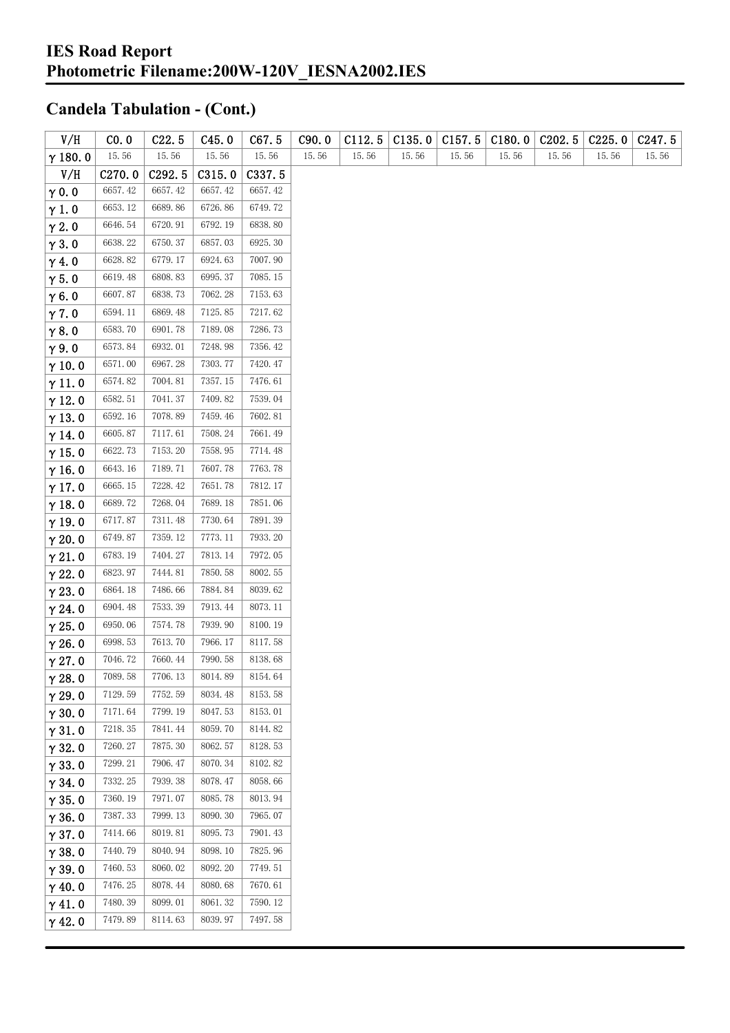| V/H            | CO.0    | C22.5   | C45.0   | C67.5          | C90.0 | C112.5 | C135.0 | C157.5 | C180.0 | C202.5 | C225.0 | C <sub>247.5</sub> |
|----------------|---------|---------|---------|----------------|-------|--------|--------|--------|--------|--------|--------|--------------------|
| $\gamma$ 180.0 | 15.56   | 15.56   | 15.56   | 15.56          | 15.56 | 15.56  | 15.56  | 15.56  | 15.56  | 15.56  | 15.56  | 15.56              |
| V/H            | C270.0  | C292.5  | C315.0  | C337.5         |       |        |        |        |        |        |        |                    |
| $\gamma$ 0.0   | 6657.42 | 6657.42 | 6657.42 | 6657.42        |       |        |        |        |        |        |        |                    |
| $\gamma$ 1.0   | 6653.12 | 6689.86 | 6726.86 | 6749.72        |       |        |        |        |        |        |        |                    |
| $\gamma$ 2.0   | 6646.54 | 6720.91 | 6792.19 | 6838.80        |       |        |        |        |        |        |        |                    |
| $\gamma$ 3.0   | 6638.22 | 6750.37 | 6857.03 | 6925.30        |       |        |        |        |        |        |        |                    |
| $\gamma$ 4.0   | 6628.82 | 6779.17 | 6924.63 | 7007.90        |       |        |        |        |        |        |        |                    |
| $\gamma$ 5.0   | 6619.48 | 6808.83 | 6995.37 | 7085.15        |       |        |        |        |        |        |        |                    |
| $\gamma$ 6.0   | 6607.87 | 6838.73 | 7062.28 | 7153.63        |       |        |        |        |        |        |        |                    |
| $\gamma$ 7.0   | 6594.11 | 6869.48 | 7125.85 | 7217.62        |       |        |        |        |        |        |        |                    |
| $\gamma$ 8.0   | 6583.70 | 6901.78 | 7189.08 | 7286.73        |       |        |        |        |        |        |        |                    |
| $\gamma$ 9.0   | 6573.84 | 6932.01 | 7248.98 | 7356.42        |       |        |        |        |        |        |        |                    |
| $\gamma$ 10.0  | 6571.00 | 6967.28 | 7303.77 | 7420.47        |       |        |        |        |        |        |        |                    |
| $\gamma$ 11.0  | 6574.82 | 7004.81 | 7357.15 | 7476.61        |       |        |        |        |        |        |        |                    |
| $\gamma$ 12.0  | 6582.51 | 7041.37 | 7409.82 | 7539.04        |       |        |        |        |        |        |        |                    |
| $\gamma$ 13.0  | 6592.16 | 7078.89 | 7459.46 | 7602.81        |       |        |        |        |        |        |        |                    |
| $\gamma$ 14.0  | 6605.87 | 7117.61 | 7508.24 | 7661.49        |       |        |        |        |        |        |        |                    |
| $\gamma$ 15.0  | 6622.73 | 7153.20 | 7558.95 | 7714.48        |       |        |        |        |        |        |        |                    |
| $\gamma$ 16.0  | 6643.16 | 7189.71 | 7607.78 | 7763.78        |       |        |        |        |        |        |        |                    |
| $\gamma$ 17.0  | 6665.15 | 7228.42 | 7651.78 | 7812.17        |       |        |        |        |        |        |        |                    |
| $\gamma$ 18.0  | 6689.72 | 7268.04 | 7689.18 | 7851.06        |       |        |        |        |        |        |        |                    |
| $\gamma$ 19.0  | 6717.87 | 7311.48 | 7730.64 | 7891.39        |       |        |        |        |        |        |        |                    |
| $\gamma$ 20.0  | 6749.87 | 7359.12 | 7773.11 | 7933.20        |       |        |        |        |        |        |        |                    |
| $\gamma$ 21.0  | 6783.19 | 7404.27 | 7813.14 | 7972.05        |       |        |        |        |        |        |        |                    |
| $\gamma$ 22.0  | 6823.97 | 7444.81 | 7850.58 | 8002.55        |       |        |        |        |        |        |        |                    |
| $\gamma$ 23.0  | 6864.18 | 7486.66 | 7884.84 | 8039.62        |       |        |        |        |        |        |        |                    |
| $\gamma$ 24.0  | 6904.48 | 7533.39 | 7913.44 | $8073.\,\, 11$ |       |        |        |        |        |        |        |                    |
| $\gamma$ 25.0  | 6950.06 | 7574.78 | 7939.90 | 8100.19        |       |        |        |        |        |        |        |                    |
| $\gamma$ 26.0  | 6998.53 | 7613.70 | 7966.17 | 8117.58        |       |        |        |        |        |        |        |                    |
| $\gamma$ 27.0  | 7046.72 | 7660.44 | 7990.58 | 8138.68        |       |        |        |        |        |        |        |                    |
| $\gamma$ 28.0  | 7089.58 | 7706.13 | 8014.89 | 8154.64        |       |        |        |        |        |        |        |                    |
| $\gamma$ 29.0  | 7129.59 | 7752.59 | 8034.48 | 8153.58        |       |        |        |        |        |        |        |                    |
| $\gamma$ 30.0  | 7171.64 | 7799.19 | 8047.53 | 8153.01        |       |        |        |        |        |        |        |                    |
| $\gamma$ 31.0  | 7218.35 | 7841.44 | 8059.70 | 8144.82        |       |        |        |        |        |        |        |                    |
| $\gamma$ 32.0  | 7260.27 | 7875.30 | 8062.57 | 8128.53        |       |        |        |        |        |        |        |                    |
| $\gamma$ 33.0  | 7299.21 | 7906.47 | 8070.34 | 8102.82        |       |        |        |        |        |        |        |                    |
| $\gamma$ 34.0  | 7332.25 | 7939.38 | 8078.47 | 8058.66        |       |        |        |        |        |        |        |                    |
| $\gamma$ 35.0  | 7360.19 | 7971.07 | 8085.78 | 8013.94        |       |        |        |        |        |        |        |                    |
| $\gamma$ 36.0  | 7387.33 | 7999.13 | 8090.30 | 7965.07        |       |        |        |        |        |        |        |                    |
| $\gamma$ 37.0  | 7414.66 | 8019.81 | 8095.73 | 7901.43        |       |        |        |        |        |        |        |                    |
| $\gamma$ 38.0  | 7440.79 | 8040.94 | 8098.10 | 7825.96        |       |        |        |        |        |        |        |                    |
| $\gamma$ 39.0  | 7460.53 | 8060.02 | 8092.20 | 7749.51        |       |        |        |        |        |        |        |                    |
| $\gamma$ 40.0  | 7476.25 | 8078.44 | 8080.68 | 7670.61        |       |        |        |        |        |        |        |                    |
| $\gamma$ 41.0  | 7480.39 | 8099.01 | 8061.32 | 7590.12        |       |        |        |        |        |        |        |                    |
| $\gamma$ 42.0  | 7479.89 | 8114.63 | 8039.97 | 7497.58        |       |        |        |        |        |        |        |                    |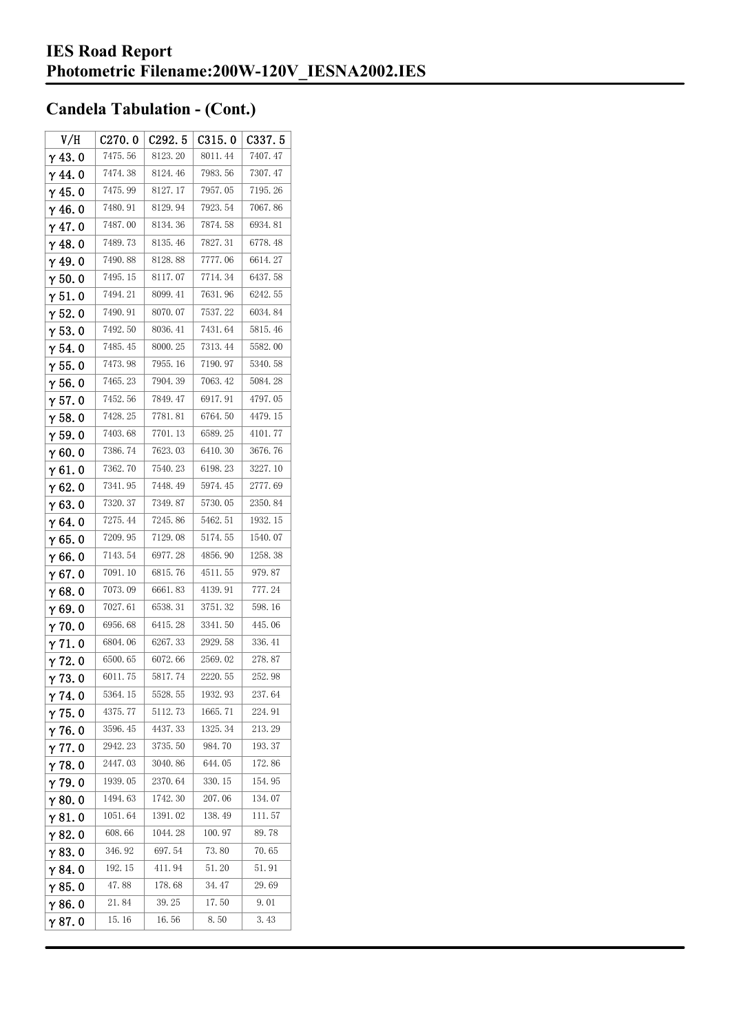| V/H            | C270.0  | C <sub>292.5</sub> | C315.0  | C337.5  |
|----------------|---------|--------------------|---------|---------|
| $\gamma$ 43.0  | 7475.56 | 8123.20            | 8011.44 | 7407.47 |
| $\gamma$ 44.0  | 7474.38 | 8124.46            | 7983.56 | 7307.47 |
| $\gamma$ 45.0  | 7475.99 | 8127.17            | 7957.05 | 7195.26 |
| $\gamma$ 46.0  | 7480.91 | 8129.94            | 7923.54 | 7067.86 |
| $\gamma$ 47.0  | 7487.00 | 8134.36            | 7874.58 | 6934.81 |
| $\gamma$ 48.0  | 7489.73 | 8135.46            | 7827.31 | 6778.48 |
| $\gamma$ 49.0  | 7490.88 | 8128.88            | 7777.06 | 6614.27 |
| $\gamma$ 50.0  | 7495.15 | 8117.07            | 7714.34 | 6437.58 |
| $\gamma$ 51. 0 | 7494.21 | 8099.41            | 7631.96 | 6242.55 |
| $\gamma$ 52.0  | 7490.91 | 8070.07            | 7537.22 | 6034.84 |
| $\gamma$ 53.0  | 7492.50 | 8036.41            | 7431.64 | 5815.46 |
| $\gamma$ 54. 0 | 7485.45 | 8000.25            | 7313.44 | 5582.00 |
| $\gamma$ 55. 0 | 7473.98 | 7955.16            | 7190.97 | 5340.58 |
| $\gamma$ 56. 0 | 7465.23 | 7904.39            | 7063.42 | 5084.28 |
| $\gamma$ 57.0  | 7452.56 | 7849.47            | 6917.91 | 4797.05 |
| $\gamma$ 58.0  | 7428.25 | 7781.81            | 6764.50 | 4479.15 |
| $\gamma$ 59.0  | 7403.68 | 7701.13            | 6589.25 | 4101.77 |
| γ60.0          | 7386.74 | 7623.03            | 6410.30 | 3676.76 |
| $\gamma$ 61.0  | 7362.70 | 7540.23            | 6198.23 | 3227.10 |
| $\gamma$ 62.0  | 7341.95 | 7448.49            | 5974.45 | 2777.69 |
| $\gamma$ 63.0  | 7320.37 | 7349.87            | 5730.05 | 2350.84 |
| $\gamma$ 64.0  | 7275.44 | 7245.86            | 5462.51 | 1932.15 |
| $\gamma$ 65. 0 | 7209.95 | 7129.08            | 5174.55 | 1540.07 |
| γ66.0          | 7143.54 | 6977.28            | 4856.90 | 1258.38 |
| $\gamma$ 67. 0 | 7091.10 | 6815.76            | 4511.55 | 979.87  |
| $\gamma$ 68.0  | 7073.09 | 6661.83            | 4139.91 | 777.24  |
| $\gamma$ 69.0  | 7027.61 | 6538.31            | 3751.32 | 598.16  |
| $\gamma$ 70.0  | 6956.68 | 6415.28            | 3341.50 | 445.06  |
| $\gamma$ 71.0  | 6804.06 | 6267.33            | 2929.58 | 336.41  |
| $\gamma$ 72. 0 | 6500.65 | 6072.66            | 2569.02 | 278.87  |
| $\gamma$ 73. 0 | 6011.75 | 5817.74            | 2220.55 | 252.98  |
| $\gamma$ 74. 0 | 5364.15 | 5528.55            | 1932.93 | 237.64  |
| $\gamma$ 75.0  | 4375.77 | 5112.73            | 1665.71 | 224.91  |
| $\gamma$ 76.0  | 3596.45 | 4437.33            | 1325.34 | 213.29  |
| $\gamma$ 77.0  | 2942.23 | 3735.50            | 984.70  | 193.37  |
| $\gamma$ 78.0  | 2447.03 | 3040.86            | 644.05  | 172.86  |
| $\gamma$ 79.0  | 1939.05 | 2370.64            | 330.15  | 154.95  |
| $\gamma$ 80.0  | 1494.63 | 1742.30            | 207.06  | 134.07  |
| $\gamma$ 81.0  | 1051.64 | 1391.02            | 138.49  | 111.57  |
| $\gamma$ 82.0  | 608.66  | 1044.28            | 100.97  | 89.78   |
| $\gamma$ 83.0  | 346.92  | 697.54             | 73.80   | 70.65   |
| $\gamma$ 84.0  | 192.15  | 411.94             | 51.20   | 51.91   |
| γ85.0          | 47.88   | 178.68             | 34.47   | 29.69   |
| $\gamma$ 86.0  | 21.84   | 39.25              | 17.50   | 9.01    |
| γ87.0          | 15.16   | 16.56              | 8.50    | 3.43    |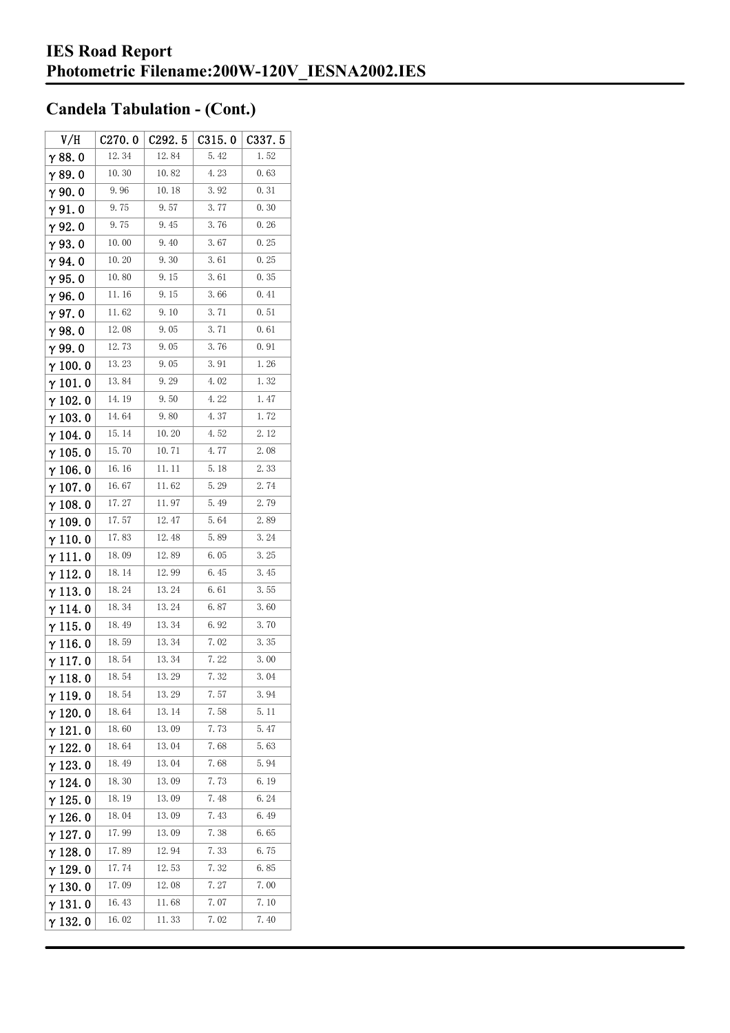| V/H             | C270.0 | C292.5 | C315.0 | C337. 5 |
|-----------------|--------|--------|--------|---------|
| $\gamma$ 88.0   | 12.34  | 12.84  | 5.42   | 1.52    |
| γ89.0           | 10.30  | 10.82  | 4.23   | 0.63    |
| $\gamma$ 90.0   | 9.96   | 10.18  | 3.92   | 0.31    |
| $\gamma$ 91.0   | 9.75   | 9.57   | 3.77   | 0.30    |
| $\gamma$ 92.0   | 9.75   | 9.45   | 3.76   | 0.26    |
| $\gamma$ 93.0   | 10.00  | 9.40   | 3.67   | 0.25    |
| γ94.0           | 10.20  | 9.30   | 3.61   | 0.25    |
| $\gamma$ 95. 0  | 10.80  | 9.15   | 3.61   | 0.35    |
| γ96.0           | 11. 16 | 9.15   | 3.66   | 0.41    |
| $\gamma$ 97.0   | 11.62  | 9.10   | 3.71   | 0.51    |
| $\gamma$ 98.0   | 12.08  | 9.05   | 3.71   | 0.61    |
| γ99.0           | 12.73  | 9.05   | 3.76   | 0.91    |
| $\gamma$ 100. 0 | 13.23  | 9.05   | 3.91   | 1.26    |
| $\gamma$ 101.0  | 13.84  | 9.29   | 4.02   | 1.32    |
| $\gamma$ 102.0  | 14.19  | 9.50   | 4.22   | 1.47    |
| $\gamma$ 103.0  | 14.64  | 9.80   | 4.37   | 1.72    |
| γ 104. 0        | 15.14  | 10.20  | 4.52   | 2.12    |
| $\gamma$ 105. 0 | 15.70  | 10.71  | 4.77   | 2.08    |
| $\gamma$ 106. 0 | 16.16  | 11.11  | 5.18   | 2.33    |
| $\gamma$ 107. 0 | 16.67  | 11.62  | 5.29   | 2.74    |
| $\gamma$ 108.0  | 17.27  | 11.97  | 5.49   | 2.79    |
| $\gamma$ 109.0  | 17.57  | 12.47  | 5.64   | 2.89    |
| $\gamma$ 110.0  | 17.83  | 12.48  | 5.89   | 3.24    |
| γ111.0          | 18.09  | 12.89  | 6.05   | 3.25    |
| $\gamma$ 112. 0 | 18.14  | 12.99  | 6.45   | 3.45    |
| $\gamma$ 113. 0 | 18.24  | 13.24  | 6.61   | 3.55    |
| $\gamma$ 114. 0 | 18.34  | 13.24  | 6.87   | 3.60    |
| $\gamma$ 115.0  | 18.49  | 13.34  | 6.92   | 3.70    |
| γ116.0          | 18.59  | 13.34  | 7.02   | 3.35    |
| $\gamma$ 117. 0 | 18.54  | 13.34  | 7.22   | 3.00    |
| $\gamma$ 118. 0 | 18.54  | 13.29  | 7.32   | 3.04    |
| γ119.0          | 18.54  | 13.29  | 7.57   | 3.94    |
| $\gamma$ 120.0  | 18. 64 | 13.14  | 7.58   | 5. 11   |
| $\gamma$ 121.0  | 18.60  | 13.09  | 7.73   | 5.47    |
| $\gamma$ 122. 0 | 18.64  | 13.04  | 7.68   | 5.63    |
| $\gamma$ 123.0  | 18.49  | 13.04  | 7.68   | 5.94    |
| $\gamma$ 124.0  | 18.30  | 13.09  | 7.73   | 6.19    |
| $\gamma$ 125.0  | 18.19  | 13.09  | 7.48   | 6.24    |
| γ 126. 0        | 18.04  | 13.09  | 7.43   | 6.49    |
| $\gamma$ 127. 0 | 17.99  | 13.09  | 7.38   | 6.65    |
| $\gamma$ 128. 0 | 17.89  | 12.94  | 7.33   | 6.75    |
| γ 129. 0        | 17.74  | 12.53  | 7.32   | 6.85    |
| $\gamma$ 130.0  | 17.09  | 12.08  | 7.27   | 7.00    |
| $\gamma$ 131.0  | 16.43  | 11.68  | 7.07   | 7.10    |
| $\gamma$ 132. 0 | 16.02  | 11.33  | 7.02   | 7.40    |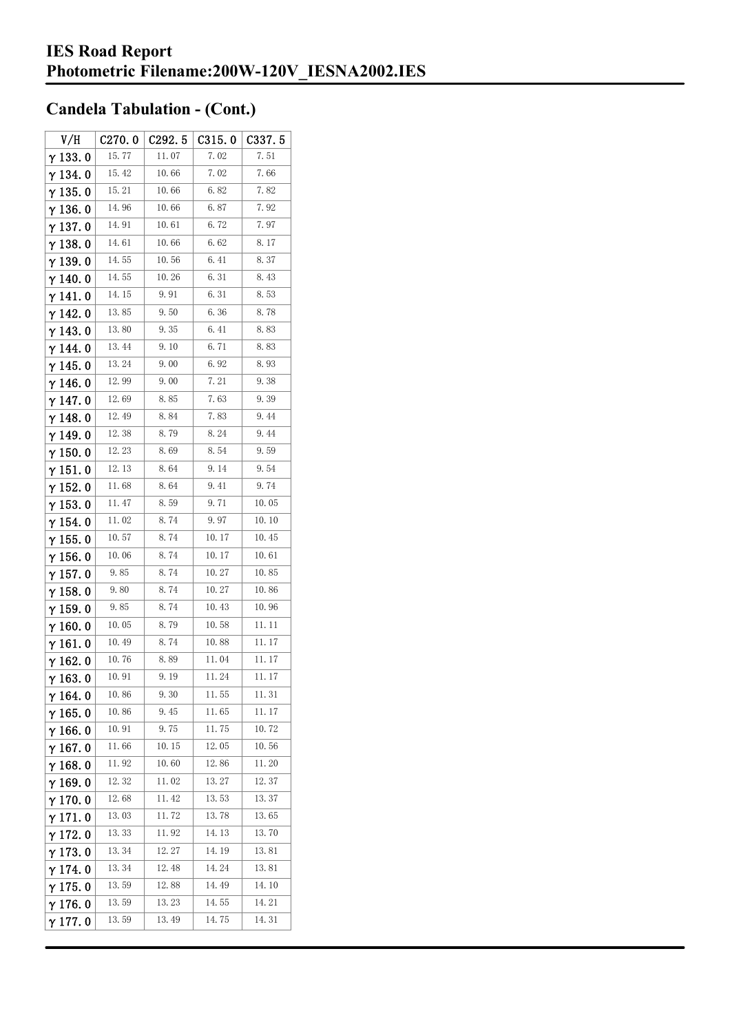| V/H             | C270.0 | C292.5 | C315.0 | C337.5 |
|-----------------|--------|--------|--------|--------|
| $\gamma$ 133.0  | 15.77  | 11.07  | 7.02   | 7.51   |
| $\gamma$ 134.0  | 15.42  | 10.66  | 7.02   | 7.66   |
| $\gamma$ 135. 0 | 15.21  | 10.66  | 6.82   | 7.82   |
| γ136.0          | 14.96  | 10.66  | 6.87   | 7.92   |
| $\gamma$ 137.0  | 14.91  | 10.61  | 6.72   | 7.97   |
| $\gamma$ 138.0  | 14.61  | 10.66  | 6.62   | 8.17   |
| $\gamma$ 139. 0 | 14.55  | 10.56  | 6.41   | 8.37   |
| $\gamma$ 140.0  | 14.55  | 10.26  | 6.31   | 8.43   |
| $\gamma$ 141.0  | 14.15  | 9.91   | 6.31   | 8.53   |
| $\gamma$ 142. 0 | 13.85  | 9.50   | 6.36   | 8.78   |
| γ143.0          | 13.80  | 9.35   | 6.41   | 8.83   |
| $\gamma$ 144.0  | 13.44  | 9.10   | 6.71   | 8.83   |
| γ 145. 0        | 13.24  | 9.00   | 6.92   | 8.93   |
| $\gamma$ 146.0  | 12.99  | 9.00   | 7.21   | 9.38   |
| γ147.0          | 12.69  | 8.85   | 7.63   | 9.39   |
| $\gamma$ 148.0  | 12.49  | 8.84   | 7.83   | 9.44   |
| $\gamma$ 149. 0 | 12.38  | 8.79   | 8.24   | 9.44   |
| $\gamma$ 150. 0 | 12.23  | 8.69   | 8.54   | 9.59   |
| $\gamma$ 151.0  | 12.13  | 8.64   | 9.14   | 9.54   |
| $\gamma$ 152. 0 | 11.68  | 8.64   | 9.41   | 9.74   |
| $\gamma$ 153. 0 | 11.47  | 8.59   | 9.71   | 10.05  |
| γ 154. 0        | 11.02  | 8.74   | 9.97   | 10.10  |
| $\gamma$ 155. 0 | 10.57  | 8.74   | 10.17  | 10.45  |
| $\gamma$ 156. 0 | 10.06  | 8.74   | 10.17  | 10.61  |
| $\gamma$ 157. 0 | 9.85   | 8.74   | 10.27  | 10.85  |
| $\gamma$ 158. 0 | 9.80   | 8.74   | 10.27  | 10.86  |
| $\gamma$ 159.0  | 9.85   | 8.74   | 10.43  | 10.96  |
| $\gamma$ 160.0  | 10.05  | 8.79   | 10.58  | 11.11  |
| $\gamma$ 161. 0 | 10.49  | 8.74   | 10.88  | 11.17  |
| $\gamma$ 162.0  | 10.76  | 8.89   | 11.04  | 11.17  |
| $\gamma$ 163.0  | 10.91  | 9.19   | 11.24  | 11. 17 |
| $\gamma$ 164. 0 | 10.86  | 9.30   | 11.55  | 11.31  |
| $\gamma$ 165.0  | 10.86  | 9.45   | 11.65  | 11. 17 |
| $\gamma$ 166.0  | 10.91  | 9.75   | 11.75  | 10.72  |
| $\gamma$ 167.0  | 11.66  | 10.15  | 12.05  | 10.56  |
| $\gamma$ 168.0  | 11.92  | 10.60  | 12.86  | 11.20  |
| $\gamma$ 169.0  | 12.32  | 11.02  | 13.27  | 12.37  |
| $\gamma$ 170.0  | 12.68  | 11.42  | 13.53  | 13.37  |
| $\gamma$ 171.0  | 13.03  | 11.72  | 13.78  | 13.65  |
| $\gamma$ 172. 0 | 13.33  | 11.92  | 14.13  | 13.70  |
| $\gamma$ 173.0  | 13.34  | 12.27  | 14.19  | 13.81  |
| $\gamma$ 174.0  | 13.34  | 12.48  | 14.24  | 13.81  |
| $\gamma$ 175.0  | 13.59  | 12.88  | 14.49  | 14.10  |
| $\gamma$ 176.0  | 13.59  | 13.23  | 14.55  | 14.21  |
| $\gamma$ 177. 0 | 13.59  | 13.49  | 14.75  | 14.31  |